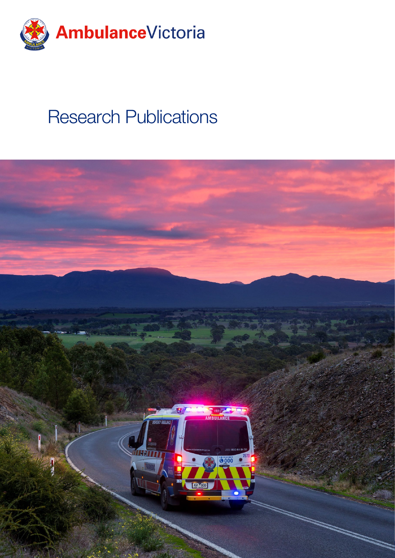

# Research Publications

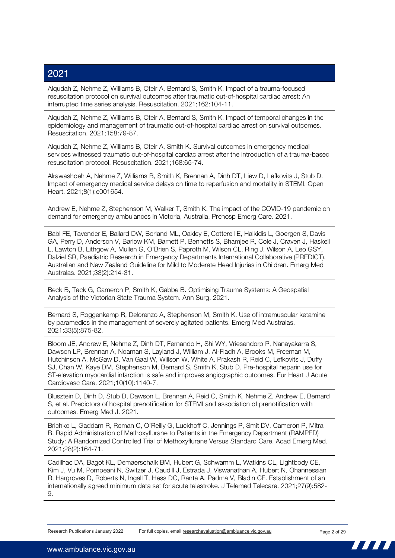Alqudah Z, Nehme Z, Williams B, Oteir A, Bernard S, Smith K. Impact of a trauma-focused resuscitation protocol on survival outcomes after traumatic out-of-hospital cardiac arrest: An interrupted time series analysis. Resuscitation. 2021;162:104-11.

Alqudah Z, Nehme Z, Williams B, Oteir A, Bernard S, Smith K. Impact of temporal changes in the epidemiology and management of traumatic out-of-hospital cardiac arrest on survival outcomes. Resuscitation. 2021;158:79-87.

Alqudah Z, Nehme Z, Williams B, Oteir A, Smith K. Survival outcomes in emergency medical services witnessed traumatic out-of-hospital cardiac arrest after the introduction of a trauma-based resuscitation protocol. Resuscitation. 2021;168:65-74.

Alrawashdeh A, Nehme Z, Williams B, Smith K, Brennan A, Dinh DT, Liew D, Lefkovits J, Stub D. Impact of emergency medical service delays on time to reperfusion and mortality in STEMI. Open Heart. 2021;8(1):e001654.

Andrew E, Nehme Z, Stephenson M, Walker T, Smith K. The impact of the COVID-19 pandemic on demand for emergency ambulances in Victoria, Australia. Prehosp Emerg Care. 2021.

Babl FE, Tavender E, Ballard DW, Borland ML, Oakley E, Cotterell E, Halkidis L, Goergen S, Davis GA, Perry D, Anderson V, Barlow KM, Barnett P, Bennetts S, Bhamjee R, Cole J, Craven J, Haskell L, Lawton B, Lithgow A, Mullen G, O'Brien S, Paproth M, Wilson CL, Ring J, Wilson A, Leo GSY, Dalziel SR, Paediatric Research in Emergency Departments International Collaborative (PREDICT). Australian and New Zealand Guideline for Mild to Moderate Head Injuries in Children. Emerg Med Australas. 2021;33(2):214-31.

Beck B, Tack G, Cameron P, Smith K, Gabbe B. Optimising Trauma Systems: A Geospatial Analysis of the Victorian State Trauma System. Ann Surg. 2021.

Bernard S, Roggenkamp R, Delorenzo A, Stephenson M, Smith K. Use of intramuscular ketamine by paramedics in the management of severely agitated patients. Emerg Med Australas. 2021;33(5):875-82.

Bloom JE, Andrew E, Nehme Z, Dinh DT, Fernando H, Shi WY, Vriesendorp P, Nanayakarra S, Dawson LP, Brennan A, Noaman S, Layland J, William J, Al-Fiadh A, Brooks M, Freeman M, Hutchinson A, McGaw D, Van Gaal W, Willson W, White A, Prakash R, Reid C, Lefkovits J, Duffy SJ, Chan W, Kaye DM, Stephenson M, Bernard S, Smith K, Stub D. Pre-hospital heparin use for ST-elevation myocardial infarction is safe and improves angiographic outcomes. Eur Heart J Acute Cardiovasc Care. 2021;10(10):1140-7.

Blusztein D, Dinh D, Stub D, Dawson L, Brennan A, Reid C, Smith K, Nehme Z, Andrew E, Bernard S, et al. Predictors of hospital prenotification for STEMI and association of prenotification with outcomes. Emerg Med J. 2021.

Brichko L, Gaddam R, Roman C, O'Reilly G, Luckhoff C, Jennings P, Smit DV, Cameron P, Mitra B. Rapid Administration of Methoxyflurane to Patients in the Emergency Department (RAMPED) Study: A Randomized Controlled Trial of Methoxyflurane Versus Standard Care. Acad Emerg Med. 2021;28(2):164-71.

Cadilhac DA, Bagot KL, Demaerschalk BM, Hubert G, Schwamm L, Watkins CL, Lightbody CE, Kim J, Vu M, Pompeani N, Switzer J, Caudill J, Estrada J, Viswanathan A, Hubert N, Ohannessian R, Hargroves D, Roberts N, Ingall T, Hess DC, Ranta A, Padma V, Bladin CF. Establishment of an internationally agreed minimum data set for acute telestroke. J Telemed Telecare. 2021;27(9):582- 9.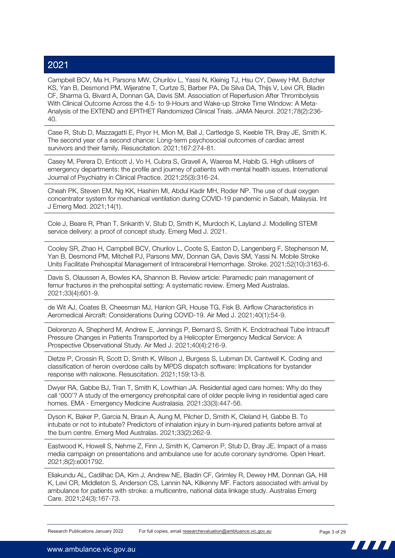Campbell BCV, Ma H, Parsons MW, Churilov L, Yassi N, Kleinig TJ, Hsu CY, Dewey HM, Butcher KS, Yan B, Desmond PM, Wijeratne T, Curtze S, Barber PA, De Silva DA, Thijs V, Levi CR, Bladin CF, Sharma G, Bivard A, Donnan GA, Davis SM. Association of Reperfusion After Thrombolysis With Clinical Outcome Across the 4.5- to 9-Hours and Wake-up Stroke Time Window: A Meta-Analysis of the EXTEND and EPITHET Randomized Clinical Trials. JAMA Neurol. 2021;78(2):236- 40.

Case R, Stub D, Mazzagatti E, Pryor H, Mion M, Ball J, Cartledge S, Keeble TR, Bray JE, Smith K. The second year of a second chance: Long-term psychosocial outcomes of cardiac arrest survivors and their family. Resuscitation. 2021;167:274-81.

Casey M, Perera D, Enticott J, Vo H, Cubra S, Gravell A, Waerea M, Habib G. High utilisers of emergency departments: the profile and journey of patients with mental health issues. International Journal of Psychiatry in Clinical Practice. 2021;25(3):316-24.

Cheah PK, Steven EM, Ng KK, Hashim MI, Abdul Kadir MH, Roder NP. The use of dual oxygen concentrator system for mechanical ventilation during COVID-19 pandemic in Sabah, Malaysia. Int J Emerg Med. 2021;14(1).

Cole J, Beare R, Phan T, Srikanth V, Stub D, Smith K, Murdoch K, Layland J. Modelling STEMI service delivery: a proof of concept study. Emerg Med J. 2021.

Cooley SR, Zhao H, Campbell BCV, Churilov L, Coote S, Easton D, Langenberg F, Stephenson M, Yan B, Desmond PM, Mitchell PJ, Parsons MW, Donnan GA, Davis SM, Yassi N. Mobile Stroke Units Facilitate Prehospital Management of Intracerebral Hemorrhage. Stroke. 2021;52(10):3163-6.

Davis S, Olaussen A, Bowles KA, Shannon B. Review article: Paramedic pain management of femur fractures in the prehospital setting: A systematic review. Emerg Med Australas. 2021;33(4):601-9.

de Wit AJ, Coates B, Cheesman MJ, Hanlon GR, House TG, Fisk B. Airflow Characteristics in Aeromedical Aircraft: Considerations During COVID-19. Air Med J. 2021;40(1):54-9.

Delorenzo A, Shepherd M, Andrew E, Jennings P, Bernard S, Smith K. Endotracheal Tube Intracuff Pressure Changes in Patients Transported by a Helicopter Emergency Medical Service: A Prospective Observational Study. Air Med J. 2021;40(4):216-9.

Dietze P, Crossin R, Scott D, Smith K, Wilson J, Burgess S, Lubman DI, Cantwell K. Coding and classification of heroin overdose calls by MPDS dispatch software: Implications for bystander response with naloxone. Resuscitation. 2021;159:13-8.

Dwyer RA, Gabbe BJ, Tran T, Smith K, Lowthian JA. Residential aged care homes: Why do they call '000'? A study of the emergency prehospital care of older people living in residential aged care homes. EMA - Emergency Medicine Australasia. 2021;33(3):447-56.

Dyson K, Baker P, Garcia N, Braun A, Aung M, Pilcher D, Smith K, Cleland H, Gabbe B. To intubate or not to intubate? Predictors of inhalation injury in burn-injured patients before arrival at the burn centre. Emerg Med Australas. 2021;33(2):262-9.

Eastwood K, Howell S, Nehme Z, Finn J, Smith K, Cameron P, Stub D, Bray JE. Impact of a mass media campaign on presentations and ambulance use for acute coronary syndrome. Open Heart. 2021;8(2):e001792.

Eliakundu AL, Cadilhac DA, Kim J, Andrew NE, Bladin CF, Grimley R, Dewey HM, Donnan GA, Hill K, Levi CR, Middleton S, Anderson CS, Lannin NA, Kilkenny MF. Factors associated with arrival by ambulance for patients with stroke: a multicentre, national data linkage study. Australas Emerg Care. 2021;24(3):167-73.

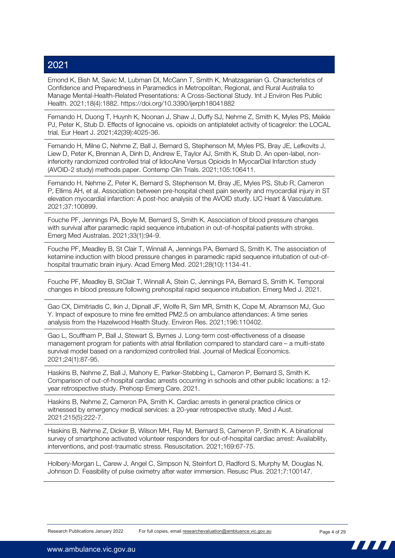Emond K, Bish M, Savic M, Lubman DI, McCann T, Smith K, Mnatzaganian G. Characteristics of Confidence and Preparedness in Paramedics in Metropolitan, Regional, and Rural Australia to Manage Mental-Health-Related Presentations: A Cross-Sectional Study. Int J Environ Res Public Health. 2021;18(4):1882. https://doi.org/10.3390/ijerph18041882

Fernando H, Duong T, Huynh K, Noonan J, Shaw J, Duffy SJ, Nehme Z, Smith K, Myles PS, Meikle PJ, Peter K, Stub D. Effects of lignocaine vs. opioids on antiplatelet activity of ticagrelor: the LOCAL trial. Eur Heart J. 2021;42(39):4025-36.

Fernando H, Milne C, Nehme Z, Ball J, Bernard S, Stephenson M, Myles PS, Bray JE, Lefkovits J, Liew D, Peter K, Brennan A, Dinh D, Andrew E, Taylor AJ, Smith K, Stub D. An open-label, noninferiority randomized controlled trial of lidocAine Versus Opioids In MyocarDial Infarction study (AVOID-2 study) methods paper. Contemp Clin Trials. 2021;105:106411.

Fernando H, Nehme Z, Peter K, Bernard S, Stephenson M, Bray JE, Myles PS, Stub R, Cameron P, Ellims AH, et al. Association between pre-hospital chest pain severity and myocardial injury in ST elevation myocardial infarction: A post-hoc analysis of the AVOID study. IJC Heart & Vasculature. 2021;37:100899.

Fouche PF, Jennings PA, Boyle M, Bernard S, Smith K. Association of blood pressure changes with survival after paramedic rapid sequence intubation in out-of-hospital patients with stroke. Emerg Med Australas. 2021;33(1):94-9.

Fouche PF, Meadley B, St Clair T, Winnall A, Jennings PA, Bernard S, Smith K. The association of ketamine induction with blood pressure changes in paramedic rapid sequence intubation of out-ofhospital traumatic brain injury. Acad Emerg Med. 2021;28(10):1134-41.

Fouche PF, Meadley B, StClair T, Winnall A, Stein C, Jennings PA, Bernard S, Smith K. Temporal changes in blood pressure following prehospital rapid sequence intubation. Emerg Med J. 2021.

Gao CX, Dimitriadis C, Ikin J, Dipnall JF, Wolfe R, Sim MR, Smith K, Cope M, Abramson MJ, Guo Y. Impact of exposure to mine fire emitted PM2.5 on ambulance attendances: A time series analysis from the Hazelwood Health Study. Environ Res. 2021;196:110402.

Gao L, Scuffham P, Ball J, Stewart S, Byrnes J. Long-term cost-effectiveness of a disease management program for patients with atrial fibrillation compared to standard care – a multi-state survival model based on a randomized controlled trial. Journal of Medical Economics. 2021;24(1):87-95.

Haskins B, Nehme Z, Ball J, Mahony E, Parker-Stebbing L, Cameron P, Bernard S, Smith K. Comparison of out-of-hospital cardiac arrests occurring in schools and other public locations: a 12 year retrospective study. Prehosp Emerg Care. 2021.

Haskins B, Nehme Z, Cameron PA, Smith K. Cardiac arrests in general practice clinics or witnessed by emergency medical services: a 20-year retrospective study. Med J Aust. 2021;215(5):222-7.

Haskins B, Nehme Z, Dicker B, Wilson MH, Ray M, Bernard S, Cameron P, Smith K. A binational survey of smartphone activated volunteer responders for out-of-hospital cardiac arrest: Availability, interventions, and post-traumatic stress. Resuscitation. 2021;169:67-75.

Holbery-Morgan L, Carew J, Angel C, Simpson N, Steinfort D, Radford S, Murphy M, Douglas N, Johnson D. Feasibility of pulse oximetry after water immersion. Resusc Plus. 2021;7:100147.

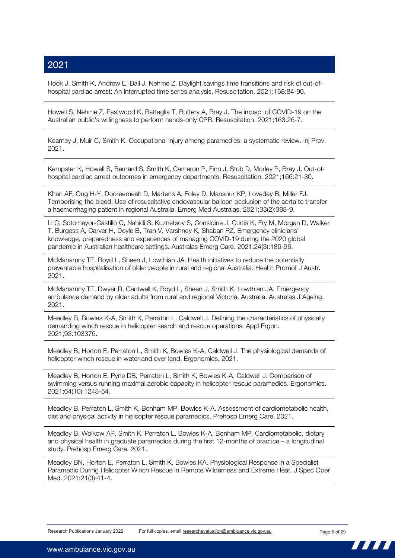Hook J, Smith K, Andrew E, Ball J, Nehme Z. Daylight savings time transitions and risk of out-ofhospital cardiac arrest: An interrupted time series analysis. Resuscitation. 2021;168:84-90.

Howell S, Nehme Z, Eastwood K, Battaglia T, Buttery A, Bray J. The impact of COVID-19 on the Australian public's willingness to perform hands-only CPR. Resuscitation. 2021;163:26-7.

Kearney J, Muir C, Smith K. Occupational injury among paramedics: a systematic review. Inj Prev. 2021.

Kempster K, Howell S, Bernard S, Smith K, Cameron P, Finn J, Stub D, Morley P, Bray J. Out-ofhospital cardiac arrest outcomes in emergency departments. Resuscitation. 2021;166:21-30.

Khan AF, Ong H-Y, Dooreemeah D, Martens A, Foley D, Mansour KP, Loveday B, Miller FJ. Temporising the bleed: Use of resuscitative endovascular balloon occlusion of the aorta to transfer a haemorrhaging patient in regional Australia. Emerg Med Australas. 2021;33(2):388-9.

Li C, Sotomayor-Castillo C, Nahidi S, Kuznetsov S, Considine J, Curtis K, Fry M, Morgan D, Walker T, Burgess A, Carver H, Doyle B, Tran V, Varshney K, Shaban RZ. Emergency clinicians' knowledge, preparedness and experiences of managing COVID-19 during the 2020 global pandemic in Australian healthcare settings. Australas Emerg Care. 2021;24(3):186-96.

McManamny TE, Boyd L, Sheen J, Lowthian JA. Health initiatives to reduce the potentially preventable hospitalisation of older people in rural and regional Australia. Health Promot J Austr. 2021.

McManamny TE, Dwyer R, Cantwell K, Boyd L, Sheen J, Smith K, Lowthian JA. Emergency ambulance demand by older adults from rural and regional Victoria, Australia. Australas J Ageing. 2021.

Meadley B, Bowles K-A, Smith K, Perraton L, Caldwell J. Defining the characteristics of physically demanding winch rescue in helicopter search and rescue operations. Appl Ergon. 2021;93:103375.

Meadley B, Horton E, Perraton L, Smith K, Bowles K-A, Caldwell J. The physiological demands of helicopter winch rescue in water and over land. Ergonomics. 2021.

Meadley B, Horton E, Pyne DB, Perraton L, Smith K, Bowles K-A, Caldwell J. Comparison of swimming versus running maximal aerobic capacity in helicopter rescue paramedics. Ergonomics. 2021;64(10):1243-54.

Meadley B, Perraton L, Smith K, Bonham MP, Bowles K-A. Assessment of cardiometabolic health, diet and physical activity in helicopter rescue paramedics. Prehosp Emerg Care. 2021.

Meadley B, Wolkow AP, Smith K, Perraton L, Bowles K-A, Bonham MP. Cardiometabolic, dietary and physical health in graduate paramedics during the first 12-months of practice – a longitudinal study. Prehosp Emerg Care. 2021.

Meadley BN, Horton E, Perraton L, Smith K, Bowles KA. Physiological Response in a Specialist Paramedic During Helicopter Winch Rescue in Remote Wilderness and Extreme Heat. J Spec Oper Med. 2021;21(3):41-4.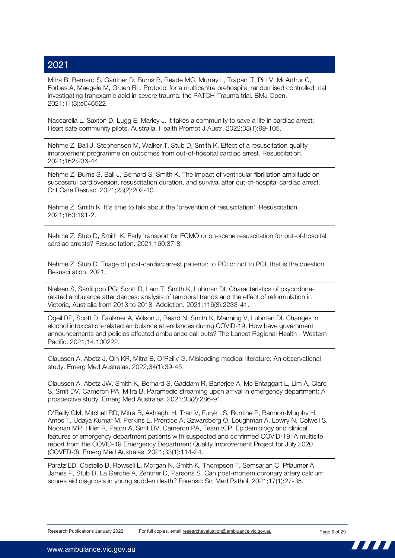Mitra B, Bernard S, Gantner D, Burns B, Reade MC, Murray L, Trapani T, Pitt V, McArthur C, Forbes A, Maegele M, Gruen RL. Protocol for a multicentre prehospital randomised controlled trial investigating tranexamic acid in severe trauma: the PATCH-Trauma trial. BMJ Open. 2021;11(3):e046522.

Naccarella L, Saxton D, Lugg E, Marley J, It takes a community to save a life in cardiac arrest: Heart safe community pilots, Australia. Health Promot J Austr. 2022;33(1):99-105.

Nehme Z, Ball J, Stephenson M, Walker T, Stub D, Smith K. Effect of a resuscitation quality improvement programme on outcomes from out-of-hospital cardiac arrest. Resuscitation. 2021;162:236-44.

Nehme Z, Burns S, Ball J, Bernard S, Smith K. The impact of ventricular fibrillation amplitude on successful cardioversion, resuscitation duration, and survival after out-of-hospital cardiac arrest. Crit Care Resusc. 2021;23(2):202-10.

Nehme Z, Smith K. It's time to talk about the 'prevention of resuscitation'. Resuscitation. 2021;163:191-2.

Nehme Z, Stub D, Smith K. Early transport for ECMO or on-scene resuscitation for out-of-hospital cardiac arrests? Resuscitation. 2021;160:37-8.

Nehme Z, Stub D. Triage of post-cardiac arrest patients: to PCI or not to PCI, that is the question. Resuscitation. 2021.

Nielsen S, Sanfilippo PG, Scott D, Lam T, Smith K, Lubman DI. Characteristics of oxycodonerelated ambulance attendances: analysis of temporal trends and the effect of reformulation in Victoria, Australia from 2013 to 2018. Addiction. 2021;116(8):2233-41.

Ogeil RP, Scott D, Faulkner A, Wilson J, Beard N, Smith K, Manning V, Lubman DI. Changes in alcohol intoxication-related ambulance attendances during COVID-19: How have government announcements and policies affected ambulance call outs? The Lancet Regional Health - Western Pacific. 2021;14:100222.

Olaussen A, Abetz J, Qin KR, Mitra B, O'Reilly G. Misleading medical literature: An observational study. Emerg Med Australas. 2022;34(1):39-45.

Olaussen A, Abetz JW, Smith K, Bernard S, Gaddam R, Banerjee A, Mc Entaggart L, Lim A, Clare S, Smit DV, Cameron PA, Mitra B. Paramedic streaming upon arrival in emergency department: A prospective study. Emerg Med Australas. 2021;33(2):286-91.

O'Reilly GM, Mitchell RD, Mitra B, Akhlaghi H, Tran V, Furyk JS, Buntine P, Bannon-Murphy H, Amos T, Udaya Kumar M, Perkins E, Prentice A, Szwarcberg O, Loughman A, Lowry N, Colwell S, Noonan MP, Hiller R, Paton A, Smit DV, Cameron PA, Team tCP. Epidemiology and clinical features of emergency department patients with suspected and confirmed COVID-19: A multisite report from the COVID-19 Emergency Department Quality Improvement Project for July 2020 (COVED-3). Emerg Med Australas. 2021;33(1):114-24.

Paratz ED, Costello B, Rowsell L, Morgan N, Smith K, Thompson T, Semsarian C, Pflaumer A, James P, Stub D, La Gerche A, Zentner D, Parsons S. Can post-mortem coronary artery calcium scores aid diagnosis in young sudden death? Forensic Sci Med Pathol. 2021;17(1):27-35.

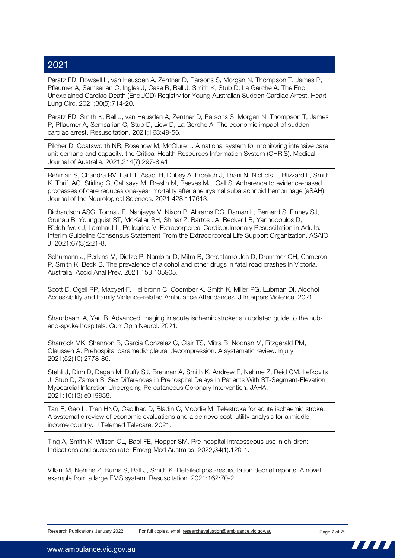Paratz ED, Rowsell L, van Heusden A, Zentner D, Parsons S, Morgan N, Thompson T, James P, Pflaumer A, Semsarian C, Ingles J, Case R, Ball J, Smith K, Stub D, La Gerche A. The End Unexplained Cardiac Death (EndUCD) Registry for Young Australian Sudden Cardiac Arrest. Heart Lung Circ. 2021;30(5):714-20.

Paratz ED, Smith K, Ball J, van Heusden A, Zentner D, Parsons S, Morgan N, Thompson T, James P, Pflaumer A, Semsarian C, Stub D, Liew D, La Gerche A. The economic impact of sudden cardiac arrest. Resuscitation. 2021;163:49-56.

Pilcher D, Coatsworth NR, Rosenow M, McClure J. A national system for monitoring intensive care unit demand and capacity: the Critical Health Resources Information System (CHRIS). Medical Journal of Australia. 2021;214(7):297-8.e1.

Rehman S, Chandra RV, Lai LT, Asadi H, Dubey A, Froelich J, Thani N, Nichols L, Blizzard L, Smith K, Thrift AG, Stirling C, Callisaya M, Breslin M, Reeves MJ, Gall S. Adherence to evidence-based processes of care reduces one-year mortality after aneurysmal subarachnoid hemorrhage (aSAH). Journal of the Neurological Sciences. 2021;428:117613.

Richardson ASC, Tonna JE, Nanjayya V, Nixon P, Abrams DC, Raman L, Bernard S, Finney SJ, Grunau B, Youngquist ST, McKellar SH, Shinar Z, Bartos JA, Becker LB, Yannopoulos D, Bělohlávek J, Lamhaut L, Pellegrino V. Extracorporeal Cardiopulmonary Resuscitation in Adults. Interim Guideline Consensus Statement From the Extracorporeal Life Support Organization. ASAIO J. 2021;67(3):221-8.

Schumann J, Perkins M, Dietze P, Nambiar D, Mitra B, Gerostamoulos D, Drummer OH, Cameron P, Smith K, Beck B. The prevalence of alcohol and other drugs in fatal road crashes in Victoria, Australia. Accid Anal Prev. 2021;153:105905.

Scott D, Ogeil RP, Maoyeri F, Heilbronn C, Coomber K, Smith K, Miller PG, Lubman DI. Alcohol Accessibility and Family Violence-related Ambulance Attendances. J Interpers Violence. 2021.

Sharobeam A, Yan B. Advanced imaging in acute ischemic stroke: an updated guide to the huband-spoke hospitals. Curr Opin Neurol. 2021.

Sharrock MK, Shannon B, Garcia Gonzalez C, Clair TS, Mitra B, Noonan M, Fitzgerald PM, Olaussen A. Prehospital paramedic pleural decompression: A systematic review. Injury. 2021;52(10):2778-86.

Stehli J, Dinh D, Dagan M, Duffy SJ, Brennan A, Smith K, Andrew E, Nehme Z, Reid CM, Lefkovits J, Stub D, Zaman S. Sex Differences in Prehospital Delays in Patients With ST-Segment-Elevation Myocardial Infarction Undergoing Percutaneous Coronary Intervention. JAHA. 2021;10(13):e019938.

Tan E, Gao L, Tran HNQ, Cadilhac D, Bladin C, Moodie M. Telestroke for acute ischaemic stroke: A systematic review of economic evaluations and a de novo cost–utility analysis for a middle income country. J Telemed Telecare. 2021.

Ting A, Smith K, Wilson CL, Babl FE, Hopper SM. Pre-hospital intraosseous use in children: Indications and success rate. Emerg Med Australas. 2022;34(1):120-1.

Villani M, Nehme Z, Burns S, Ball J, Smith K. Detailed post-resuscitation debrief reports: A novel example from a large EMS system. Resuscitation. 2021;162:70-2.

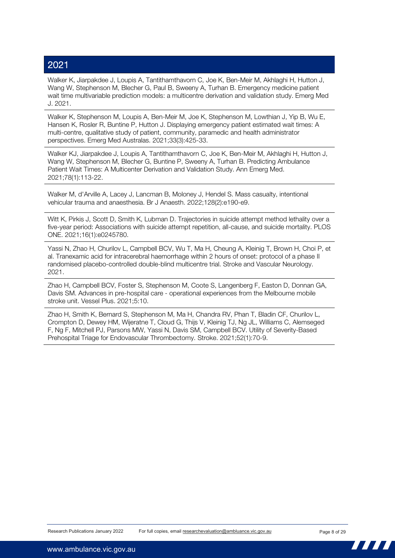Walker K, Jiarpakdee J, Loupis A, Tantithamthavorn C, Joe K, Ben-Meir M, Akhlaghi H, Hutton J, Wang W, Stephenson M, Blecher G, Paul B, Sweeny A, Turhan B. Emergency medicine patient wait time multivariable prediction models: a multicentre derivation and validation study. Emerg Med J. 2021.

Walker K, Stephenson M, Loupis A, Ben-Meir M, Joe K, Stephenson M, Lowthian J, Yip B, Wu E, Hansen K, Rosler R, Buntine P, Hutton J. Displaying emergency patient estimated wait times: A multi-centre, qualitative study of patient, community, paramedic and health administrator perspectives. Emerg Med Australas. 2021;33(3):425-33.

Walker KJ, Jiarpakdee J, Loupis A, Tantithamthavorn C, Joe K, Ben-Meir M, Akhlaghi H, Hutton J, Wang W, Stephenson M, Blecher G, Buntine P, Sweeny A, Turhan B. Predicting Ambulance Patient Wait Times: A Multicenter Derivation and Validation Study. Ann Emerg Med. 2021;78(1):113-22.

Walker M, d'Arville A, Lacey J, Lancman B, Moloney J, Hendel S. Mass casualty, intentional vehicular trauma and anaesthesia. Br J Anaesth. 2022;128(2):e190-e9.

Witt K, Pirkis J, Scott D, Smith K, Lubman D. Trajectories in suicide attempt method lethality over a five-year period: Associations with suicide attempt repetition, all-cause, and suicide mortality. PLOS ONE. 2021;16(1):e0245780.

Yassi N, Zhao H, Churilov L, Campbell BCV, Wu T, Ma H, Cheung A, Kleinig T, Brown H, Choi P, et al. Tranexamic acid for intracerebral haemorrhage within 2 hours of onset: protocol of a phase II randomised placebo-controlled double-blind multicentre trial. Stroke and Vascular Neurology. 2021.

Zhao H, Campbell BCV, Foster S, Stephenson M, Coote S, Langenberg F, Easton D, Donnan GA, Davis SM. Advances in pre-hospital care - operational experiences from the Melbourne mobile stroke unit. Vessel Plus. 2021;5:10.

Zhao H, Smith K, Bernard S, Stephenson M, Ma H, Chandra RV, Phan T, Bladin CF, Churilov L, Crompton D, Dewey HM, Wijeratne T, Cloud G, Thijs V, Kleinig TJ, Ng JL, Williams C, Alemseged F, Ng F, Mitchell PJ, Parsons MW, Yassi N, Davis SM, Campbell BCV. Utility of Severity-Based Prehospital Triage for Endovascular Thrombectomy. Stroke. 2021;52(1):70-9.

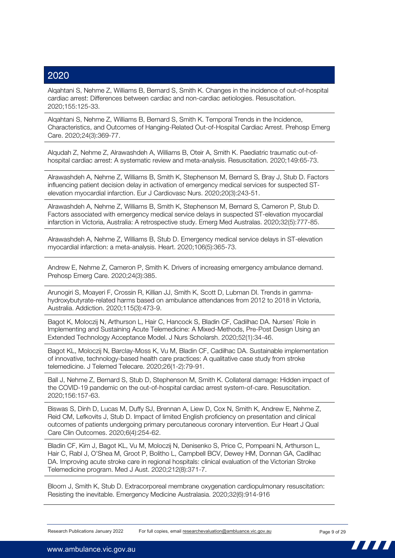Alqahtani S, Nehme Z, Williams B, Bernard S, Smith K. Changes in the incidence of out-of-hospital cardiac arrest: Differences between cardiac and non-cardiac aetiologies. Resuscitation. 2020;155:125-33.

Alqahtani S, Nehme Z, Williams B, Bernard S, Smith K. Temporal Trends in the Incidence, Characteristics, and Outcomes of Hanging-Related Out-of-Hospital Cardiac Arrest. Prehosp Emerg Care. 2020;24(3):369-77.

Alqudah Z, Nehme Z, Alrawashdeh A, Williams B, Oteir A, Smith K. Paediatric traumatic out-ofhospital cardiac arrest: A systematic review and meta-analysis. Resuscitation. 2020;149:65-73.

Alrawashdeh A, Nehme Z, Williams B, Smith K, Stephenson M, Bernard S, Bray J, Stub D. Factors influencing patient decision delay in activation of emergency medical services for suspected STelevation myocardial infarction. Eur J Cardiovasc Nurs. 2020;20(3):243-51.

Alrawashdeh A, Nehme Z, Williams B, Smith K, Stephenson M, Bernard S, Cameron P, Stub D. Factors associated with emergency medical service delays in suspected ST-elevation myocardial infarction in Victoria, Australia: A retrospective study. Emerg Med Australas. 2020;32(5):777-85.

Alrawashdeh A, Nehme Z, Williams B, Stub D. Emergency medical service delays in ST-elevation myocardial infarction: a meta-analysis. Heart. 2020;106(5):365-73.

Andrew E, Nehme Z, Cameron P, Smith K. Drivers of increasing emergency ambulance demand. Prehosp Emerg Care. 2020;24(3):385.

Arunogiri S, Moayeri F, Crossin R, Killian JJ, Smith K, Scott D, Lubman DI. Trends in gammahydroxybutyrate-related harms based on ambulance attendances from 2012 to 2018 in Victoria, Australia. Addiction. 2020;115(3):473-9.

Bagot K, Moloczij N, Arthurson L, Hair C, Hancock S, Bladin CF, Cadilhac DA. Nurses' Role in Implementing and Sustaining Acute Telemedicine: A Mixed-Methods, Pre-Post Design Using an Extended Technology Acceptance Model. J Nurs Scholarsh. 2020;52(1):34-46.

Bagot KL, Moloczij N, Barclay-Moss K, Vu M, Bladin CF, Cadilhac DA. Sustainable implementation of innovative, technology-based health care practices: A qualitative case study from stroke telemedicine. J Telemed Telecare. 2020;26(1-2):79-91.

Ball J, Nehme Z, Bernard S, Stub D, Stephenson M, Smith K. Collateral damage: Hidden impact of the COVID-19 pandemic on the out-of-hospital cardiac arrest system-of-care. Resuscitation. 2020;156:157-63.

Biswas S, Dinh D, Lucas M, Duffy SJ, Brennan A, Liew D, Cox N, Smith K, Andrew E, Nehme Z, Reid CM, Lefkovits J, Stub D. Impact of limited English proficiency on presentation and clinical outcomes of patients undergoing primary percutaneous coronary intervention. Eur Heart J Qual Care Clin Outcomes. 2020;6(4):254-62.

Bladin CF, Kim J, Bagot KL, Vu M, Moloczij N, Denisenko S, Price C, Pompeani N, Arthurson L, Hair C, Rabl J, O'Shea M, Groot P, Bolitho L, Campbell BCV, Dewey HM, Donnan GA, Cadilhac DA. Improving acute stroke care in regional hospitals: clinical evaluation of the Victorian Stroke Telemedicine program. Med J Aust. 2020;212(8):371-7.

Bloom J, Smith K, Stub D. Extracorporeal membrane oxygenation cardiopulmonary resuscitation: Resisting the inevitable. Emergency Medicine Australasia. 2020;32(6):914-916

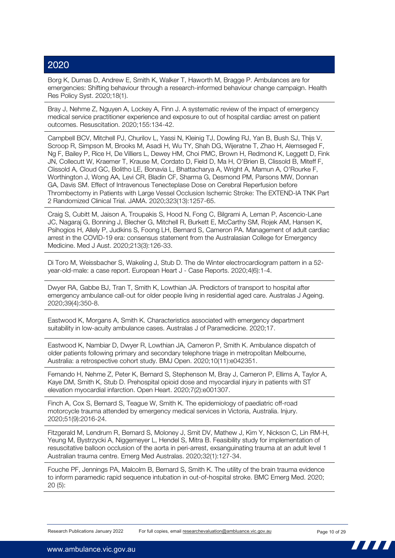Borg K, Dumas D, Andrew E, Smith K, Walker T, Haworth M, Bragge P. Ambulances are for emergencies: Shifting behaviour through a research-informed behaviour change campaign. Health Res Policy Syst. 2020;18(1).

Bray J, Nehme Z, Nguyen A, Lockey A, Finn J. A systematic review of the impact of emergency medical service practitioner experience and exposure to out of hospital cardiac arrest on patient outcomes. Resuscitation. 2020;155:134-42.

Campbell BCV, Mitchell PJ, Churilov L, Yassi N, Kleinig TJ, Dowling RJ, Yan B, Bush SJ, Thijs V, Scroop R, Simpson M, Brooks M, Asadi H, Wu TY, Shah DG, Wijeratne T, Zhao H, Alemseged F, Ng F, Bailey P, Rice H, De Villiers L, Dewey HM, Choi PMC, Brown H, Redmond K, Leggett D, Fink JN, Collecutt W, Kraemer T, Krause M, Cordato D, Field D, Ma H, O'Brien B, Clissold B, Miteff F, Clissold A, Cloud GC, Bolitho LE, Bonavia L, Bhattacharya A, Wright A, Mamun A, O'Rourke F, Worthington J, Wong AA, Levi CR, Bladin CF, Sharma G, Desmond PM, Parsons MW, Donnan GA, Davis SM. Effect of Intravenous Tenecteplase Dose on Cerebral Reperfusion before Thrombectomy in Patients with Large Vessel Occlusion Ischemic Stroke: The EXTEND-IA TNK Part 2 Randomized Clinical Trial. JAMA. 2020;323(13):1257-65.

Craig S, Cubitt M, Jaison A, Troupakis S, Hood N, Fong C, Bilgrami A, Leman P, Ascencio-Lane JC, Nagaraj G, Bonning J, Blecher G, Mitchell R, Burkett E, McCarthy SM, Rojek AM, Hansen K, Psihogios H, Allely P, Judkins S, Foong LH, Bernard S, Cameron PA. Management of adult cardiac arrest in the COVID-19 era: consensus statement from the Australasian College for Emergency Medicine. Med J Aust. 2020;213(3):126-33.

Di Toro M, Weissbacher S, Wakeling J, Stub D. The de Winter electrocardiogram pattern in a 52 year-old-male: a case report. European Heart J - Case Reports. 2020;4(6):1-4.

Dwyer RA, Gabbe BJ, Tran T, Smith K, Lowthian JA. Predictors of transport to hospital after emergency ambulance call-out for older people living in residential aged care. Australas J Ageing. 2020;39(4):350-8.

Eastwood K, Morgans A, Smith K. Characteristics associated with emergency department suitability in low-acuity ambulance cases. Australas J of Paramedicine. 2020;17.

Eastwood K, Nambiar D, Dwyer R, Lowthian JA, Cameron P, Smith K. Ambulance dispatch of older patients following primary and secondary telephone triage in metropolitan Melbourne, Australia: a retrospective cohort study. BMJ Open. 2020;10(11):e042351.

Fernando H, Nehme Z, Peter K, Bernard S, Stephenson M, Bray J, Cameron P, Ellims A, Taylor A, Kaye DM, Smith K, Stub D. Prehospital opioid dose and myocardial injury in patients with ST elevation myocardial infarction. Open Heart. 2020;7(2):e001307.

Finch A, Cox S, Bernard S, Teague W, Smith K. The epidemiology of paediatric off-road motorcycle trauma attended by emergency medical services in Victoria, Australia. Injury. 2020;51(9):2016-24.

Fitzgerald M, Lendrum R, Bernard S, Moloney J, Smit DV, Mathew J, Kim Y, Nickson C, Lin RM-H, Yeung M, Bystrzycki A, Niggemeyer L, Hendel S, Mitra B. Feasibility study for implementation of resuscitative balloon occlusion of the aorta in peri-arrest, exsanguinating trauma at an adult level 1 Australian trauma centre. Emerg Med Australas. 2020;32(1):127-34.

Fouche PF, Jennings PA, Malcolm B, Bernard S, Smith K. The utility of the brain trauma evidence to inform paramedic rapid sequence intubation in out-of-hospital stroke. BMC Emerg Med. 2020; 20 (5):

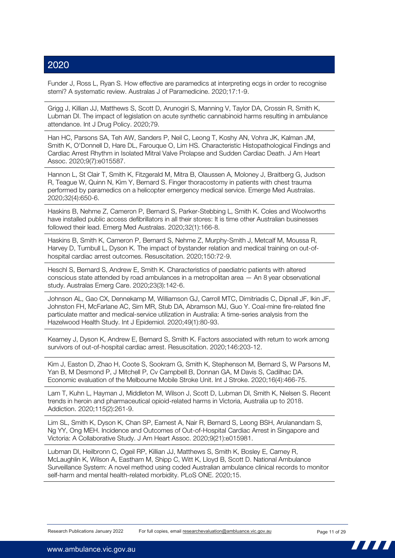Funder J, Ross L, Ryan S. How effective are paramedics at interpreting ecgs in order to recognise stemi? A systematic review. Australas J of Paramedicine. 2020;17:1-9.

Grigg J, Killian JJ, Matthews S, Scott D, Arunogiri S, Manning V, Taylor DA, Crossin R, Smith K, Lubman DI. The impact of legislation on acute synthetic cannabinoid harms resulting in ambulance attendance. Int J Drug Policy. 2020;79.

Han HC, Parsons SA, Teh AW, Sanders P, Neil C, Leong T, Koshy AN, Vohra JK, Kalman JM, Smith K, O'Donnell D, Hare DL, Farouque O, Lim HS. Characteristic Histopathological Findings and Cardiac Arrest Rhythm in Isolated Mitral Valve Prolapse and Sudden Cardiac Death. J Am Heart Assoc. 2020;9(7):e015587.

Hannon L, St Clair T, Smith K, Fitzgerald M, Mitra B, Olaussen A, Moloney J, Braitberg G, Judson R, Teague W, Quinn N, Kim Y, Bernard S. Finger thoracostomy in patients with chest trauma performed by paramedics on a helicopter emergency medical service. Emerge Med Australas. 2020;32(4):650-6.

Haskins B, Nehme Z, Cameron P, Bernard S, Parker-Stebbing L, Smith K. Coles and Woolworths have installed public access defibrillators in all their stores: It is time other Australian businesses followed their lead. Emerg Med Australas. 2020;32(1):166-8.

Haskins B, Smith K, Cameron P, Bernard S, Nehme Z, Murphy-Smith J, Metcalf M, Moussa R, Harvey D, Turnbull L, Dyson K. The impact of bystander relation and medical training on out-ofhospital cardiac arrest outcomes. Resuscitation. 2020;150:72-9.

Heschl S, Bernard S, Andrew E, Smith K. Characteristics of paediatric patients with altered conscious state attended by road ambulances in a metropolitan area — An 8 year observational study. Australas Emerg Care. 2020;23(3):142-6.

Johnson AL, Gao CX, Dennekamp M, Williamson GJ, Carroll MTC, Dimitriadis C, Dipnall JF, Ikin JF, Johnston FH, McFarlane AC, Sim MR, Stub DA, Abramson MJ, Guo Y. Coal-mine fire-related fine particulate matter and medical-service utilization in Australia: A time-series analysis from the Hazelwood Health Study. Int J Epidemiol. 2020;49(1):80-93.

Kearney J, Dyson K, Andrew E, Bernard S, Smith K. Factors associated with return to work among survivors of out-of-hospital cardiac arrest. Resuscitation. 2020;146:203-12.

Kim J, Easton D, Zhao H, Coote S, Sookram G, Smith K, Stephenson M, Bernard S, W Parsons M, Yan B, M Desmond P, J Mitchell P, Cv Campbell B, Donnan GA, M Davis S, Cadilhac DA. Economic evaluation of the Melbourne Mobile Stroke Unit. Int J Stroke. 2020;16(4):466-75.

Lam T, Kuhn L, Hayman J, Middleton M, Wilson J, Scott D, Lubman DI, Smith K, Nielsen S. Recent trends in heroin and pharmaceutical opioid-related harms in Victoria, Australia up to 2018. Addiction. 2020;115(2):261-9.

Lim SL, Smith K, Dyson K, Chan SP, Earnest A, Nair R, Bernard S, Leong BSH, Arulanandam S, Ng YY, Ong MEH. Incidence and Outcomes of Out-of-Hospital Cardiac Arrest in Singapore and Victoria: A Collaborative Study. J Am Heart Assoc. 2020;9(21):e015981.

Lubman DI, Heilbronn C, Ogeil RP, Killian JJ, Matthews S, Smith K, Bosley E, Carney R, McLaughlin K, Wilson A, Eastham M, Shipp C, Witt K, Lloyd B, Scott D. National Ambulance Surveillance System: A novel method using coded Australian ambulance clinical records to monitor self-harm and mental health-related morbidity. PLoS ONE. 2020;15.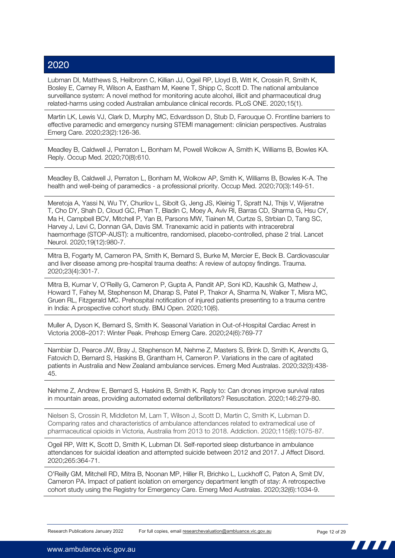Lubman DI, Matthews S, Heilbronn C, Killian JJ, Ogeil RP, Lloyd B, Witt K, Crossin R, Smith K, Bosley E, Carney R, Wilson A, Eastham M, Keene T, Shipp C, Scott D. The national ambulance surveillance system: A novel method for monitoring acute alcohol, illicit and pharmaceutical drug related-harms using coded Australian ambulance clinical records. PLoS ONE. 2020;15(1).

Martin LK, Lewis VJ, Clark D, Murphy MC, Edvardsson D, Stub D, Farouque O. Frontline barriers to effective paramedic and emergency nursing STEMI management: clinician perspectives. Australas Emerg Care. 2020;23(2):126-36.

Meadley B, Caldwell J, Perraton L, Bonham M, Powell Wolkow A, Smith K, Williams B, Bowles KA. Reply. Occup Med. 2020;70(8):610.

Meadley B, Caldwell J, Perraton L, Bonham M, Wolkow AP, Smith K, Williams B, Bowles K-A. The health and well-being of paramedics - a professional priority. Occup Med. 2020;70(3):149-51.

Meretoja A, Yassi N, Wu TY, Churilov L, Sibolt G, Jeng JS, Kleinig T, Spratt NJ, Thijs V, Wijeratne T, Cho DY, Shah D, Cloud GC, Phan T, Bladin C, Moey A, Aviv RI, Barras CD, Sharma G, Hsu CY, Ma H, Campbell BCV, Mitchell P, Yan B, Parsons MW, Tiainen M, Curtze S, Strbian D, Tang SC, Harvey J, Levi C, Donnan GA, Davis SM. Tranexamic acid in patients with intracerebral haemorrhage (STOP-AUST): a multicentre, randomised, placebo-controlled, phase 2 trial. Lancet Neurol. 2020;19(12):980-7.

Mitra B, Fogarty M, Cameron PA, Smith K, Bernard S, Burke M, Mercier E, Beck B. Cardiovascular and liver disease among pre-hospital trauma deaths: A review of autopsy findings. Trauma. 2020;23(4):301-7.

Mitra B, Kumar V, O'Reilly G, Cameron P, Gupta A, Pandit AP, Soni KD, Kaushik G, Mathew J, Howard T, Fahey M, Stephenson M, Dharap S, Patel P, Thakor A, Sharma N, Walker T, Misra MC, Gruen RL, Fitzgerald MC. Prehospital notification of injured patients presenting to a trauma centre in India: A prospective cohort study. BMJ Open. 2020;10(6).

Muller A, Dyson K, Bernard S, Smith K. Seasonal Variation in Out-of-Hospital Cardiac Arrest in Victoria 2008–2017: Winter Peak. Prehosp Emerg Care. 2020;24(6):769-77

Nambiar D, Pearce JW, Bray J, Stephenson M, Nehme Z, Masters S, Brink D, Smith K, Arendts G, Fatovich D, Bernard S, Haskins B, Grantham H, Cameron P. Variations in the care of agitated patients in Australia and New Zealand ambulance services. Emerg Med Australas. 2020;32(3):438- 45.

Nehme Z, Andrew E, Bernard S, Haskins B, Smith K. Reply to: Can drones improve survival rates in mountain areas, providing automated external defibrillators? Resuscitation. 2020;146:279-80.

Nielsen S, Crossin R, Middleton M, Lam T, Wilson J, Scott D, Martin C, Smith K, Lubman D. Comparing rates and characteristics of ambulance attendances related to extramedical use of pharmaceutical opioids in Victoria, Australia from 2013 to 2018. Addiction. 2020;115(6):1075-87.

Ogeil RP, Witt K, Scott D, Smith K, Lubman DI. Self-reported sleep disturbance in ambulance attendances for suicidal ideation and attempted suicide between 2012 and 2017. J Affect Disord. 2020;265:364-71.

O'Reilly GM, Mitchell RD, Mitra B, Noonan MP, Hiller R, Brichko L, Luckhoff C, Paton A, Smit DV, Cameron PA. Impact of patient isolation on emergency department length of stay: A retrospective cohort study using the Registry for Emergency Care. Emerg Med Australas. 2020;32(6):1034-9.

www.ambulance.vic.gov.au

77 T T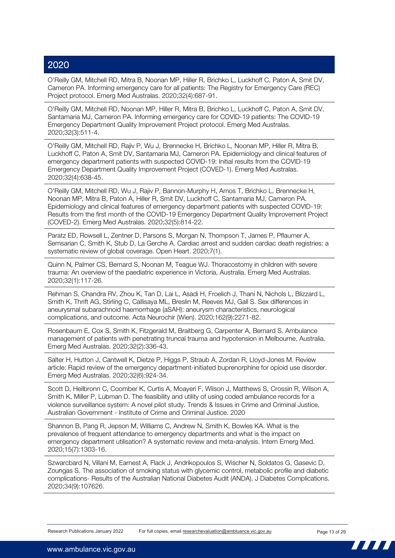O'Reilly GM, Mitchell RD, Mitra B, Noonan MP, Hiller R, Brichko L, Luckhoff C, Paton A, Smit DV, Cameron PA. Informing emergency care for all patients: The Registry for Emergency Care (REC) Project protocol. Emerg Med Australas. 2020;32(4):687-91.

O'Reilly GM, Mitchell RD, Noonan MP, Hiller R, Mitra B, Brichko L, Luckhoff C, Paton A, Smit DV, Santamaria MJ, Cameron PA. Informing emergency care for COVID-19 patients: The COVID-19 Emergency Department Quality Improvement Project protocol. Emerg Med Australas. 2020;32(3):511-4.

O'Reilly GM, Mitchell RD, Rajiv P, Wu J, Brennecke H, Brichko L, Noonan MP, Hiller R, Mitra B, Luckhoff C, Paton A, Smit DV, Santamaria MJ, Cameron PA. Epidemiology and clinical features of emergency department patients with suspected COVID-19: Initial results from the COVID-19 Emergency Department Quality Improvement Project (COVED-1). Emerg Med Australas. 2020;32(4):638-45.

O'Reilly GM, Mitchell RD, Wu J, Rajiv P, Bannon-Murphy H, Amos T, Brichko L, Brennecke H, Noonan MP, Mitra B, Paton A, Hiller R, Smit DV, Luckhoff C, Santamaria MJ, Cameron PA. Epidemiology and clinical features of emergency department patients with suspected COVID-19: Results from the first month of the COVID-19 Emergency Department Quality Improvement Project (COVED-2). Emerg Med Australas. 2020;32(5):814-22.

Paratz ED, Rowsell L, Zentner D, Parsons S, Morgan N, Thompson T, James P, Pflaumer A, Semsarian C, Smith K, Stub D, La Gerche A. Cardiac arrest and sudden cardiac death registries: a systematic review of global coverage. Open Heart. 2020;7(1).

Quinn N, Palmer CS, Bernard S, Noonan M, Teague WJ. Thoracostomy in children with severe trauma: An overview of the paediatric experience in Victoria, Australia. Emerg Med Australas. 2020;32(1):117-26.

Rehman S, Chandra RV, Zhou K, Tan D, Lai L, Asadi H, Froelich J, Thani N, Nichols L, Blizzard L, Smith K, Thrift AG, Stirling C, Callisaya ML, Breslin M, Reeves MJ, Gall S. Sex differences in aneurysmal subarachnoid haemorrhage (aSAH): aneurysm characteristics, neurological complications, and outcome. Acta Neurochir (Wien). 2020;162(9):2271-82.

Rosenbaum E, Cox S, Smith K, Fitzgerald M, Braitberg G, Carpenter A, Bernard S. Ambulance management of patients with penetrating truncal trauma and hypotension in Melbourne, Australia. Emerg Med Australas. 2020;32(2):336-43.

Salter H, Hutton J, Cantwell K, Dietze P, Higgs P, Straub A, Zordan R, Lloyd-Jones M. Review article: Rapid review of the emergency department-initiated buprenorphine for opioid use disorder. Emerg Med Australas. 2020;32(6):924-34.

Scott D, Heilbronn C, Coomber K, Curtis A, Moayeri F, Wilson J, Matthews S, Crossin R, Wilson A, Smith K, Miller P, Lubman D. The feasibility and utility of using coded ambulance records for a violence surveillance system: A novel pilot study. Trends & Issues in Crime and Criminal Justice, Australian Government - Institute of Crime and Criminal Justice. 2020

Shannon B, Pang R, Jepson M, Williams C, Andrew N, Smith K, Bowles KA. What is the prevalence of frequent attendance to emergency departments and what is the impact on emergency department utilisation? A systematic review and meta-analysis. Intern Emerg Med. 2020;15(7):1303-16.

Szwarcbard N, Villani M, Earnest A, Flack J, Andrikopoulos S, Wischer N, Soldatos G, Gasevic D, Zoungas S. The association of smoking status with glycemic control, metabolic profile and diabetic complications- Results of the Australian National Diabetes Audit (ANDA). J Diabetes Complications. 2020;34(9):107626.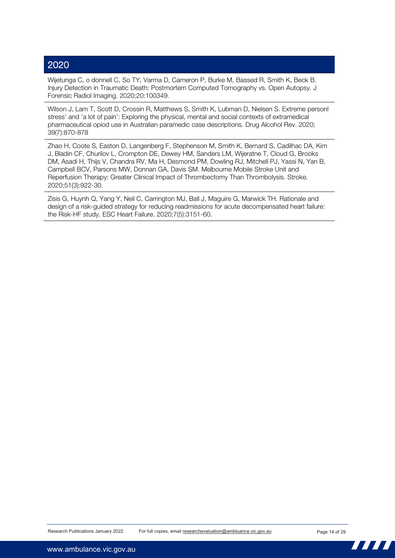Wijetunga C, o donnell C, So TY, Varma D, Cameron P, Burke M, Bassed R, Smith K, Beck B. Injury Detection in Traumatic Death: Postmortem Computed Tomography vs. Open Autopsy. J Forensic Radiol Imaging. 2020;20:100349.

Wilson J, Lam T, Scott D, Crossin R, Matthews S, Smith K, Lubman D, Nielsen S. Extreme personl stress' and 'a lot of pain': Exploring the physical, mental and social contexts of extramedical pharmaceutical opiod use in Australian paramedic case descriptions. Drug Alcohol Rev. 2020; 39(7):870-878

Zhao H, Coote S, Easton D, Langenberg F, Stephenson M, Smith K, Bernard S, Cadilhac DA, Kim J, Bladin CF, Churilov L, Crompton DE, Dewey HM, Sanders LM, Wijeratne T, Cloud G, Brooks DM, Asadi H, Thijs V, Chandra RV, Ma H, Desmond PM, Dowling RJ, Mitchell PJ, Yassi N, Yan B, Campbell BCV, Parsons MW, Donnan GA, Davis SM. Melbourne Mobile Stroke Unit and Reperfusion Therapy: Greater Clinical Impact of Thrombectomy Than Thrombolysis. Stroke. 2020;51(3):922-30.

Zisis G, Huynh Q, Yang Y, Neil C, Carrington MJ, Ball J, Maguire G, Marwick TH. Rationale and design of a risk-guided strategy for reducing readmissions for acute decompensated heart failure: the Risk-HF study. ESC Heart Failure. 2020;7(5):3151-60.

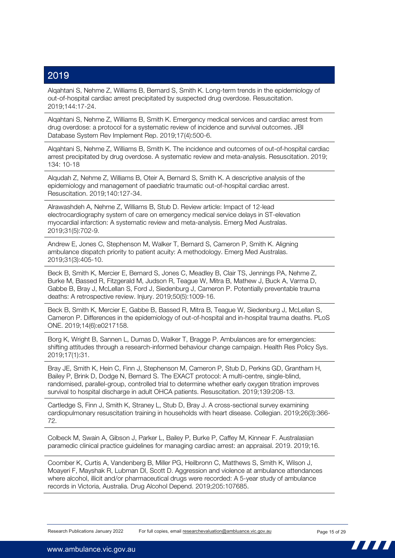Alqahtani S, Nehme Z, Williams B, Bernard S, Smith K. Long-term trends in the epidemiology of out-of-hospital cardiac arrest precipitated by suspected drug overdose. Resuscitation. 2019;144:17-24.

Alqahtani S, Nehme Z, Williams B, Smith K. Emergency medical services and cardiac arrest from drug overdose: a protocol for a systematic review of incidence and survival outcomes. JBI Database System Rev Implement Rep. 2019;17(4):500-6.

Alqahtani S, Nehme Z, Williams B, Smith K. The incidence and outcomes of out-of-hospital cardiac arrest precipitated by drug overdose. A systematic review and meta-analysis. Resuscitation. 2019; 134: 10-18

Alqudah Z, Nehme Z, Williams B, Oteir A, Bernard S, Smith K. A descriptive analysis of the epidemiology and management of paediatric traumatic out-of-hospital cardiac arrest. Resuscitation. 2019;140:127-34.

Alrawashdeh A, Nehme Z, Williams B, Stub D. Review article: Impact of 12-lead electrocardiography system of care on emergency medical service delays in ST-elevation myocardial infarction: A systematic review and meta-analysis. Emerg Med Australas. 2019;31(5):702-9.

Andrew E, Jones C, Stephenson M, Walker T, Bernard S, Cameron P, Smith K. Aligning ambulance dispatch priority to patient acuity: A methodology. Emerg Med Australas. 2019;31(3):405-10.

Beck B, Smith K, Mercier E, Bernard S, Jones C, Meadley B, Clair TS, Jennings PA, Nehme Z, Burke M, Bassed R, Fitzgerald M, Judson R, Teague W, Mitra B, Mathew J, Buck A, Varma D, Gabbe B, Bray J, McLellan S, Ford J, Siedenburg J, Cameron P. Potentially preventable trauma deaths: A retrospective review. Injury. 2019;50(5):1009-16.

Beck B, Smith K, Mercier E, Gabbe B, Bassed R, Mitra B, Teague W, Siedenburg J, McLellan S, Cameron P. Differences in the epidemiology of out-of-hospital and in-hospital trauma deaths. PLoS ONE. 2019;14(6):e0217158.

Borg K, Wright B, Sannen L, Dumas D, Walker T, Bragge P. Ambulances are for emergencies: shifting attitudes through a research-informed behaviour change campaign. Health Res Policy Sys. 2019;17(1):31.

Bray JE, Smith K, Hein C, Finn J, Stephenson M, Cameron P, Stub D, Perkins GD, Grantham H, Bailey P, Brink D, Dodge N, Bernard S. The EXACT protocol: A multi-centre, single-blind, randomised, parallel-group, controlled trial to determine whether early oxygen titration improves survival to hospital discharge in adult OHCA patients. Resuscitation. 2019;139:208-13.

Cartledge S, Finn J, Smith K, Straney L, Stub D, Bray J. A cross-sectional survey examining cardiopulmonary resuscitation training in households with heart disease. Collegian. 2019;26(3):366- 72.

Colbeck M, Swain A, Gibson J, Parker L, Bailey P, Burke P, Caffey M, Kinnear F. Australasian paramedic clinical practice guidelines for managing cardiac arrest: an appraisal. 2019. 2019;16.

Coomber K, Curtis A, Vandenberg B, Miller PG, Heilbronn C, Matthews S, Smith K, Wilson J, Moayeri F, Mayshak R, Lubman DI, Scott D. Aggression and violence at ambulance attendances where alcohol, illicit and/or pharmaceutical drugs were recorded: A 5-year study of ambulance records in Victoria, Australia. Drug Alcohol Depend. 2019;205:107685.

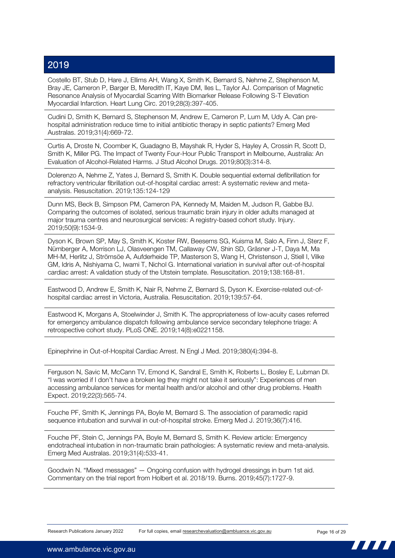Costello BT, Stub D, Hare J, Ellims AH, Wang X, Smith K, Bernard S, Nehme Z, Stephenson M, Bray JE, Cameron P, Barger B, Meredith IT, Kaye DM, Iles L, Taylor AJ. Comparison of Magnetic Resonance Analysis of Myocardial Scarring With Biomarker Release Following S-T Elevation Myocardial Infarction. Heart Lung Circ. 2019;28(3):397-405.

Cudini D, Smith K, Bernard S, Stephenson M, Andrew E, Cameron P, Lum M, Udy A. Can prehospital administration reduce time to initial antibiotic therapy in septic patients? Emerg Med Australas. 2019;31(4):669-72.

Curtis A, Droste N, Coomber K, Guadagno B, Mayshak R, Hyder S, Hayley A, Crossin R, Scott D, Smith K, Miller PG. The Impact of Twenty Four-Hour Public Transport in Melbourne, Australia: An Evaluation of Alcohol-Related Harms. J Stud Alcohol Drugs. 2019;80(3):314-8.

Dolerenzo A, Nehme Z, Yates J, Bernard S, Smith K. Double sequential external defibrillation for refractory ventricular fibrillation out-of-hospital cardiac arrest: A systematic review and metaanalysis. Resuscitation. 2019;135:124-129

Dunn MS, Beck B, Simpson PM, Cameron PA, Kennedy M, Maiden M, Judson R, Gabbe BJ. Comparing the outcomes of isolated, serious traumatic brain injury in older adults managed at major trauma centres and neurosurgical services: A registry-based cohort study. Injury. 2019;50(9):1534-9.

Dyson K, Brown SP, May S, Smith K, Koster RW, Beesems SG, Kuisma M, Salo A, Finn J, Sterz F, Nürnberger A, Morrison LJ, Olasveengen TM, Callaway CW, Shin SD, Gräsner J-T, Daya M, Ma MH-M, Herlitz J, Strömsöe A, Aufderheide TP, Masterson S, Wang H, Christenson J, Stiell I, Vilke GM, Idris A, Nishiyama C, Iwami T, Nichol G. International variation in survival after out-of-hospital cardiac arrest: A validation study of the Utstein template. Resuscitation. 2019;138:168-81.

Eastwood D, Andrew E, Smith K, Nair R, Nehme Z, Bernard S, Dyson K. Exercise-related out-ofhospital cardiac arrest in Victoria, Australia. Resuscitation. 2019;139:57-64.

Eastwood K, Morgans A, Stoelwinder J, Smith K. The appropriateness of low-acuity cases referred for emergency ambulance dispatch following ambulance service secondary telephone triage: A retrospective cohort study. PLoS ONE. 2019;14(8):e0221158.

Epinephrine in Out-of-Hospital Cardiac Arrest. N Engl J Med. 2019;380(4):394-8.

Ferguson N, Savic M, McCann TV, Emond K, Sandral E, Smith K, Roberts L, Bosley E, Lubman DI. "I was worried if I don't have a broken leg they might not take it seriously": Experiences of men accessing ambulance services for mental health and/or alcohol and other drug problems. Health Expect. 2019;22(3):565-74.

Fouche PF, Smith K, Jennings PA, Boyle M, Bernard S. The association of paramedic rapid sequence intubation and survival in out-of-hospital stroke. Emerg Med J. 2019;36(7):416.

Fouche PF, Stein C, Jennings PA, Boyle M, Bernard S, Smith K. Review article: Emergency endotracheal intubation in non-traumatic brain pathologies: A systematic review and meta-analysis. Emerg Med Australas. 2019;31(4):533-41.

Goodwin N. "Mixed messages" — Ongoing confusion with hydrogel dressings in burn 1st aid. Commentary on the trial report from Holbert et al. 2018/19. Burns. 2019;45(7):1727-9.

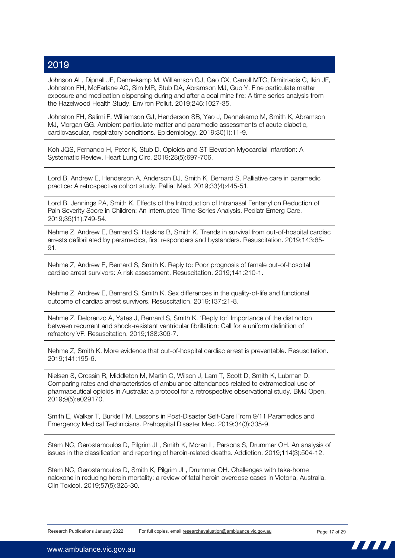Johnson AL, Dipnall JF, Dennekamp M, Williamson GJ, Gao CX, Carroll MTC, Dimitriadis C, Ikin JF, Johnston FH, McFarlane AC, Sim MR, Stub DA, Abramson MJ, Guo Y. Fine particulate matter exposure and medication dispensing during and after a coal mine fire: A time series analysis from the Hazelwood Health Study. Environ Pollut. 2019;246:1027-35.

Johnston FH, Salimi F, Williamson GJ, Henderson SB, Yao J, Dennekamp M, Smith K, Abramson MJ, Morgan GG. Ambient particulate matter and paramedic assessments of acute diabetic, cardiovascular, respiratory conditions. Epidemiology. 2019;30(1):11-9.

Koh JQS, Fernando H, Peter K, Stub D. Opioids and ST Elevation Myocardial Infarction: A Systematic Review. Heart Lung Circ. 2019;28(5):697-706.

Lord B, Andrew E, Henderson A, Anderson DJ, Smith K, Bernard S. Palliative care in paramedic practice: A retrospective cohort study. Palliat Med. 2019;33(4):445-51.

Lord B, Jennings PA, Smith K. Effects of the Introduction of Intranasal Fentanyl on Reduction of Pain Severity Score in Children: An Interrupted Time-Series Analysis. Pediatr Emerg Care. 2019;35(11):749-54.

Nehme Z, Andrew E, Bernard S, Haskins B, Smith K. Trends in survival from out-of-hospital cardiac arrests defibrillated by paramedics, first responders and bystanders. Resuscitation. 2019;143:85- 91.

Nehme Z, Andrew E, Bernard S, Smith K. Reply to: Poor prognosis of female out-of-hospital cardiac arrest survivors: A risk assessment. Resuscitation. 2019;141:210-1.

Nehme Z, Andrew E, Bernard S, Smith K. Sex differences in the quality-of-life and functional outcome of cardiac arrest survivors. Resuscitation. 2019;137:21-8.

Nehme Z, Delorenzo A, Yates J, Bernard S, Smith K. 'Reply to:' Importance of the distinction between recurrent and shock-resistant ventricular fibrillation: Call for a uniform definition of refractory VF. Resuscitation. 2019;138:306-7.

Nehme Z, Smith K. More evidence that out-of-hospital cardiac arrest is preventable. Resuscitation. 2019;141:195-6.

Nielsen S, Crossin R, Middleton M, Martin C, Wilson J, Lam T, Scott D, Smith K, Lubman D. Comparing rates and characteristics of ambulance attendances related to extramedical use of pharmaceutical opioids in Australia: a protocol for a retrospective observational study. BMJ Open. 2019;9(5):e029170.

Smith E, Walker T, Burkle FM. Lessons in Post-Disaster Self-Care From 9/11 Paramedics and Emergency Medical Technicians. Prehospital Disaster Med. 2019;34(3):335-9.

Stam NC, Gerostamoulos D, Pilgrim JL, Smith K, Moran L, Parsons S, Drummer OH. An analysis of issues in the classification and reporting of heroin-related deaths. Addiction. 2019;114(3):504-12.

Stam NC, Gerostamoulos D, Smith K, Pilgrim JL, Drummer OH. Challenges with take-home naloxone in reducing heroin mortality: a review of fatal heroin overdose cases in Victoria, Australia. Clin Toxicol. 2019;57(5):325-30.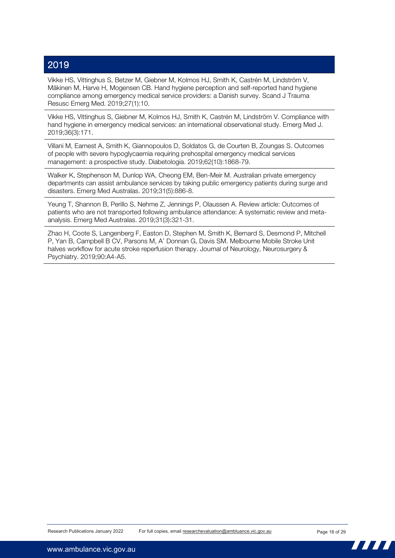Vikke HS, Vittinghus S, Betzer M, Giebner M, Kolmos HJ, Smith K, Castrén M, Lindström V, Mäkinen M, Harve H, Mogensen CB. Hand hygiene perception and self-reported hand hygiene compliance among emergency medical service providers: a Danish survey. Scand J Trauma Resusc Emerg Med. 2019;27(1):10.

Vikke HS, Vittinghus S, Giebner M, Kolmos HJ, Smith K, Castrén M, Lindström V. Compliance with hand hygiene in emergency medical services: an international observational study. Emerg Med J. 2019;36(3):171.

Villani M, Earnest A, Smith K, Giannopoulos D, Soldatos G, de Courten B, Zoungas S. Outcomes of people with severe hypoglycaemia requiring prehospital emergency medical services management: a prospective study. Diabetologia. 2019;62(10):1868-79.

Walker K, Stephenson M, Dunlop WA, Cheong EM, Ben-Meir M. Australian private emergency departments can assist ambulance services by taking public emergency patients during surge and disasters. Emerg Med Australas. 2019;31(5):886-8.

Yeung T, Shannon B, Perillo S, Nehme Z, Jennings P, Olaussen A. Review article: Outcomes of patients who are not transported following ambulance attendance: A systematic review and metaanalysis. Emerg Med Australas. 2019;31(3):321-31.

Zhao H, Coote S, Langenberg F, Easton D, Stephen M, Smith K, Bernard S, Desmond P, Mitchell P, Yan B, Campbell B CV, Parsons M, A' Donnan G, Davis SM. Melbourne Mobile Stroke Unit halves workflow for acute stroke reperfusion therapy. Journal of Neurology, Neurosurgery & Psychiatry. 2019;90:A4-A5.

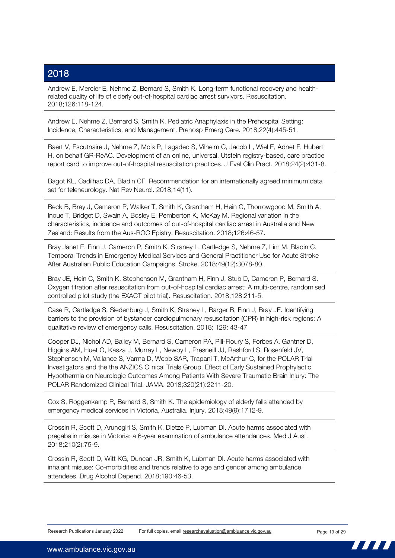Andrew E, Mercier E, Nehme Z, Bernard S, Smith K. Long-term functional recovery and healthrelated quality of life of elderly out-of-hospital cardiac arrest survivors. Resuscitation. 2018;126:118-124.

Andrew E, Nehme Z, Bernard S, Smith K. Pediatric Anaphylaxis in the Prehospital Setting: Incidence, Characteristics, and Management. Prehosp Emerg Care. 2018;22(4):445-51.

Baert V, Escutnaire J, Nehme Z, Mols P, Lagadec S, Vilhelm C, Jacob L, Wiel E, Adnet F, Hubert H, on behalf GR-ReAC. Development of an online, universal, Utstein registry-based, care practice report card to improve out-of-hospital resuscitation practices. J Eval Clin Pract. 2018;24(2):431-8.

Bagot KL, Cadilhac DA, Bladin CF. Recommendation for an internationally agreed minimum data set for teleneurology. Nat Rev Neurol. 2018;14(11).

Beck B, Bray J, Cameron P, Walker T, Smith K, Grantham H, Hein C, Thorrowgood M, Smith A, Inoue T, Bridget D, Swain A, Bosley E, Pemberton K, McKay M. Regional variation in the characteristics, incidence and outcomes of out-of-hospital cardiac arrest in Australia and New Zealand: Results from the Aus-ROC Epistry. Resuscitation. 2018;126:46-57.

Bray Janet E, Finn J, Cameron P, Smith K, Straney L, Cartledge S, Nehme Z, Lim M, Bladin C. Temporal Trends in Emergency Medical Services and General Practitioner Use for Acute Stroke After Australian Public Education Campaigns. Stroke. 2018;49(12):3078-80.

Bray JE, Hein C, Smith K, Stephenson M, Grantham H, Finn J, Stub D, Cameron P, Bernard S. Oxygen titration after resuscitation from out-of-hospital cardiac arrest: A multi-centre, randomised controlled pilot study (the EXACT pilot trial). Resuscitation. 2018;128:211-5.

Case R, Cartledge S, Siedenburg J, Smith K, Straney L, Barger B, Finn J, Bray JE. Identifying barriers to the provision of bystander cardiopulmonary resuscitation (CPR) in high-risk regions: A qualitative review of emergency calls. Resuscitation. 2018; 129: 43-47

Cooper DJ, Nichol AD, Bailey M, Bernard S, Cameron PA, Pili-Floury S, Forbes A, Gantner D, Higgins AM, Huet O, Kasza J, Murray L, Newby L, Presneill JJ, Rashford S, Rosenfeld JV, Stephenson M, Vallance S, Varma D, Webb SAR, Trapani T, McArthur C, for the POLAR Trial Investigators and the the ANZICS Clinical Trials Group. Effect of Early Sustained Prophylactic Hypothermia on Neurologic Outcomes Among Patients With Severe Traumatic Brain Injury: The POLAR Randomized Clinical Trial. JAMA. 2018;320(21):2211-20.

Cox S, Roggenkamp R, Bernard S, Smith K. The epidemiology of elderly falls attended by emergency medical services in Victoria, Australia. Injury. 2018;49(9):1712-9.

Crossin R, Scott D, Arunogiri S, Smith K, Dietze P, Lubman DI. Acute harms associated with pregabalin misuse in Victoria: a 6-year examination of ambulance attendances. Med J Aust. 2018;210(2):75-9.

Crossin R, Scott D, Witt KG, Duncan JR, Smith K, Lubman DI. Acute harms associated with inhalant misuse: Co-morbidities and trends relative to age and gender among ambulance attendees. Drug Alcohol Depend. 2018;190:46-53.

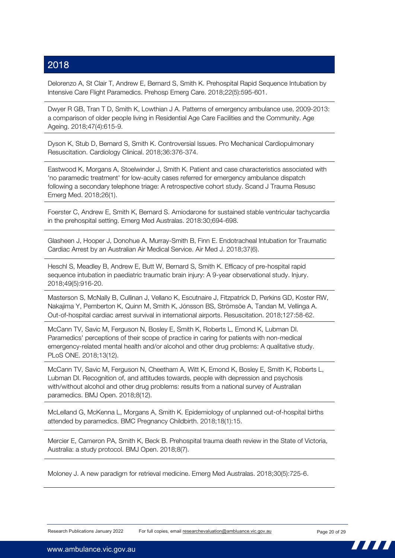Delorenzo A, St Clair T, Andrew E, Bernard S, Smith K. Prehospital Rapid Sequence Intubation by Intensive Care Flight Paramedics. Prehosp Emerg Care. 2018;22(5):595-601.

Dwyer R GB, Tran T D, Smith K, Lowthian J A. Patterns of emergency ambulance use, 2009-2013: a comparison of older people living in Residential Age Care Facilities and the Community. Age Ageing. 2018;47(4):615-9.

Dyson K, Stub D, Bernard S, Smith K. Controversial Issues. Pro Mechanical Cardiopulmonary Resuscitation. Cardiology Clinical. 2018;36:376-374.

Eastwood K, Morgans A, Stoelwinder J, Smith K. Patient and case characteristics associated with 'no paramedic treatment' for low-acuity cases referred for emergency ambulance dispatch following a secondary telephone triage: A retrospective cohort study. Scand J Trauma Resusc Emerg Med. 2018;26(1).

Foerster C, Andrew E, Smith K, Bernard S. Amiodarone for sustained stable ventricular tachycardia in the prehospital setting. Emerg Med Australas. 2018:30;694-698.

Glasheen J, Hooper J, Donohue A, Murray-Smith B, Finn E. Endotracheal Intubation for Traumatic Cardiac Arrest by an Australian Air Medical Service. Air Med J. 2018;37(6).

Heschl S, Meadley B, Andrew E, Butt W, Bernard S, Smith K. Efficacy of pre-hospital rapid sequence intubation in paediatric traumatic brain injury: A 9-year observational study. Injury. 2018;49(5):916-20.

Masterson S, McNally B, Cullinan J, Vellano K, Escutnaire J, Fitzpatrick D, Perkins GD, Koster RW, Nakajima Y, Pemberton K, Quinn M, Smith K, Jónsson BS, Strömsöe A, Tandan M, Vellinga A. Out-of-hospital cardiac arrest survival in international airports. Resuscitation. 2018;127:58-62.

McCann TV, Savic M, Ferguson N, Bosley E, Smith K, Roberts L, Emond K, Lubman DI. Paramedics' perceptions of their scope of practice in caring for patients with non-medical emergency-related mental health and/or alcohol and other drug problems: A qualitative study. PLoS ONE. 2018;13(12).

McCann TV, Savic M, Ferguson N, Cheetham A, Witt K, Emond K, Bosley E, Smith K, Roberts L, Lubman DI. Recognition of, and attitudes towards, people with depression and psychosis with/without alcohol and other drug problems: results from a national survey of Australian paramedics. BMJ Open. 2018;8(12).

McLelland G, McKenna L, Morgans A, Smith K. Epidemiology of unplanned out-of-hospital births attended by paramedics. BMC Pregnancy Childbirth. 2018;18(1):15.

Mercier E, Cameron PA, Smith K, Beck B. Prehospital trauma death review in the State of Victoria, Australia: a study protocol. BMJ Open. 2018;8(7).

Moloney J. A new paradigm for retrieval medicine. Emerg Med Australas. 2018;30(5):725-6.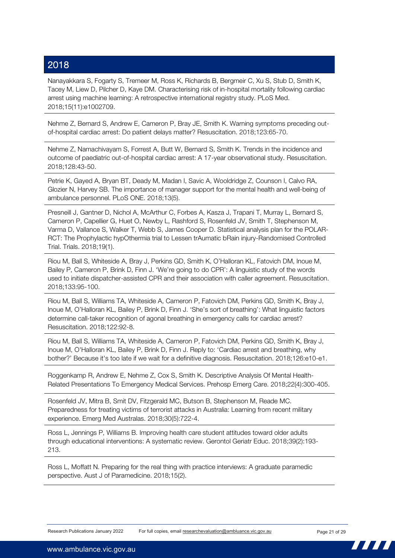Nanayakkara S, Fogarty S, Tremeer M, Ross K, Richards B, Bergmeir C, Xu S, Stub D, Smith K, Tacey M, Liew D, Pilcher D, Kaye DM. Characterising risk of in-hospital mortality following cardiac arrest using machine learning: A retrospective international registry study. PLoS Med. 2018;15(11):e1002709.

Nehme Z, Bernard S, Andrew E, Cameron P, Bray JE, Smith K. Warning symptoms preceding outof-hospital cardiac arrest: Do patient delays matter? Resuscitation. 2018;123:65-70.

Nehme Z, Namachivayam S, Forrest A, Butt W, Bernard S, Smith K. Trends in the incidence and outcome of paediatric out-of-hospital cardiac arrest: A 17-year observational study. Resuscitation. 2018;128:43-50.

Petrie K, Gayed A, Bryan BT, Deady M, Madan I, Savic A, Wooldridge Z, Counson I, Calvo RA, Glozier N, Harvey SB. The importance of manager support for the mental health and well-being of ambulance personnel. PLoS ONE. 2018;13(5).

Presneill J, Gantner D, Nichol A, McArthur C, Forbes A, Kasza J, Trapani T, Murray L, Bernard S, Cameron P, Capellier G, Huet O, Newby L, Rashford S, Rosenfeld JV, Smith T, Stephenson M, Varma D, Vallance S, Walker T, Webb S, James Cooper D. Statistical analysis plan for the POLAR-RCT: The Prophylactic hypOthermia trial to Lessen trAumatic bRain injury-Randomised Controlled Trial. Trials. 2018;19(1).

Riou M, Ball S, Whiteside A, Bray J, Perkins GD, Smith K, O'Halloran KL, Fatovich DM, Inoue M, Bailey P, Cameron P, Brink D, Finn J. 'We're going to do CPR': A linguistic study of the words used to initiate dispatcher-assisted CPR and their association with caller agreement. Resuscitation. 2018;133:95-100.

Riou M, Ball S, Williams TA, Whiteside A, Cameron P, Fatovich DM, Perkins GD, Smith K, Bray J, Inoue M, O'Halloran KL, Bailey P, Brink D, Finn J. 'She's sort of breathing': What linguistic factors determine call-taker recognition of agonal breathing in emergency calls for cardiac arrest? Resuscitation. 2018;122:92-8.

Riou M, Ball S, Williams TA, Whiteside A, Cameron P, Fatovich DM, Perkins GD, Smith K, Bray J, Inoue M, O'Halloran KL, Bailey P, Brink D, Finn J. Reply to: 'Cardiac arrest and breathing, why bother?' Because it's too late if we wait for a definitive diagnosis. Resuscitation. 2018;126:e10-e1.

Roggenkamp R, Andrew E, Nehme Z, Cox S, Smith K. Descriptive Analysis Of Mental Health-Related Presentations To Emergency Medical Services. Prehosp Emerg Care. 2018;22(4):300-405.

Rosenfeld JV, Mitra B, Smit DV, Fitzgerald MC, Butson B, Stephenson M, Reade MC. Preparedness for treating victims of terrorist attacks in Australia: Learning from recent military experience. Emerg Med Australas. 2018;30(5):722-4.

Ross L, Jennings P, Williams B. Improving health care student attitudes toward older adults through educational interventions: A systematic review. Gerontol Geriatr Educ. 2018;39(2):193- 213.

Ross L, Moffatt N. Preparing for the real thing with practice interviews: A graduate paramedic perspective. Aust J of Paramedicine. 2018;15(2).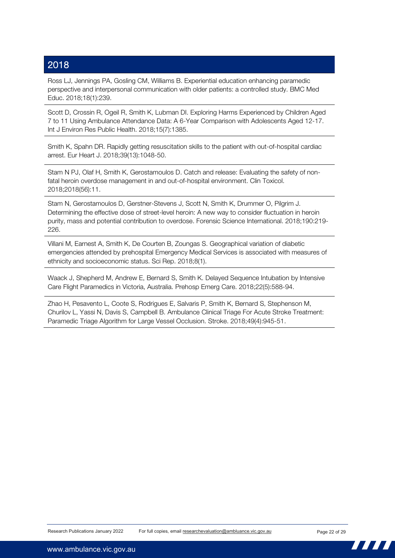Ross LJ, Jennings PA, Gosling CM, Williams B. Experiential education enhancing paramedic perspective and interpersonal communication with older patients: a controlled study. BMC Med Educ. 2018;18(1):239.

Scott D, Crossin R, Ogeil R, Smith K, Lubman DI. Exploring Harms Experienced by Children Aged 7 to 11 Using Ambulance Attendance Data: A 6-Year Comparison with Adolescents Aged 12-17. Int J Environ Res Public Health. 2018;15(7):1385.

Smith K, Spahn DR. Rapidly getting resuscitation skills to the patient with out-of-hospital cardiac arrest. Eur Heart J. 2018;39(13):1048-50.

Stam N PJ, Olaf H, Smith K, Gerostamoulos D. Catch and release: Evaluating the safety of nonfatal heroin overdose management in and out-of-hospital environment. Clin Toxicol. 2018;2018(56):11.

Stam N, Gerostamoulos D, Gerstner-Stevens J, Scott N, Smith K, Drummer O, Pilgrim J. Determining the effective dose of street-level heroin: A new way to consider fluctuation in heroin purity, mass and potential contribution to overdose. Forensic Science International. 2018;190:219- 226.

Villani M, Earnest A, Smith K, De Courten B, Zoungas S. Geographical variation of diabetic emergencies attended by prehospital Emergency Medical Services is associated with measures of ethnicity and socioeconomic status. Sci Rep. 2018;8(1).

Waack J, Shepherd M, Andrew E, Bernard S, Smith K. Delayed Sequence Intubation by Intensive Care Flight Paramedics in Victoria, Australia. Prehosp Emerg Care. 2018;22(5):588-94.

Zhao H, Pesavento L, Coote S, Rodrigues E, Salvaris P, Smith K, Bernard S, Stephenson M, Churilov L, Yassi N, Davis S, Campbell B. Ambulance Clinical Triage For Acute Stroke Treatment: Paramedic Triage Algorithm for Large Vessel Occlusion. Stroke. 2018;49(4):945-51.

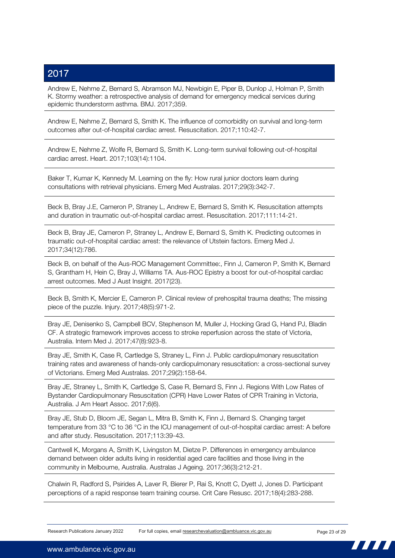Andrew E, Nehme Z, Bernard S, Abramson MJ, Newbigin E, Piper B, Dunlop J, Holman P, Smith K. Stormy weather: a retrospective analysis of demand for emergency medical services during epidemic thunderstorm asthma. BMJ. 2017;359.

Andrew E, Nehme Z, Bernard S, Smith K. The influence of comorbidity on survival and long-term outcomes after out-of-hospital cardiac arrest. Resuscitation. 2017;110:42-7.

Andrew E, Nehme Z, Wolfe R, Bernard S, Smith K. Long-term survival following out-of-hospital cardiac arrest. Heart. 2017;103(14):1104.

Baker T, Kumar K, Kennedy M. Learning on the fly: How rural junior doctors learn during consultations with retrieval physicians. Emerg Med Australas. 2017;29(3):342-7.

Beck B, Bray J.E, Cameron P, Straney L, Andrew E, Bernard S, Smith K. Resuscitation attempts and duration in traumatic out-of-hospital cardiac arrest. Resuscitation. 2017;111:14-21.

Beck B, Bray JE, Cameron P, Straney L, Andrew E, Bernard S, Smith K. Predicting outcomes in traumatic out-of-hospital cardiac arrest: the relevance of Utstein factors. Emerg Med J. 2017;34(12):786.

Beck B, on behalf of the Aus-ROC Management Committee:, Finn J, Cameron P, Smith K, Bernard S, Grantham H, Hein C, Bray J, Williams TA. Aus-ROC Epistry a boost for out-of-hospital cardiac arrest outcomes. Med J Aust Insight. 2017(23).

Beck B, Smith K, Mercier E, Cameron P. Clinical review of prehospital trauma deaths; The missing piece of the puzzle. Injury. 2017;48(5):971-2.

Bray JE, Denisenko S, Campbell BCV, Stephenson M, Muller J, Hocking Grad G, Hand PJ, Bladin CF. A strategic framework improves access to stroke reperfusion across the state of Victoria, Australia. Intern Med J. 2017;47(8):923-8.

Bray JE, Smith K, Case R, Cartledge S, Straney L, Finn J. Public cardiopulmonary resuscitation training rates and awareness of hands-only cardiopulmonary resuscitation: a cross-sectional survey of Victorians. Emerg Med Australas. 2017;29(2):158-64.

Bray JE, Straney L, Smith K, Cartledge S, Case R, Bernard S, Finn J. Regions With Low Rates of Bystander Cardiopulmonary Resuscitation (CPR) Have Lower Rates of CPR Training in Victoria, Australia. J Am Heart Assoc. 2017;6(6).

Bray JE, Stub D, Bloom JE, Segan L, Mitra B, Smith K, Finn J, Bernard S. Changing target temperature from 33 °C to 36 °C in the ICU management of out-of-hospital cardiac arrest: A before and after study. Resuscitation. 2017;113:39-43.

Cantwell K, Morgans A, Smith K, Livingston M, Dietze P. Differences in emergency ambulance demand between older adults living in residential aged care facilities and those living in the community in Melbourne, Australia. Australas J Ageing. 2017;36(3):212-21.

Chalwin R, Radford S, Psirides A, Laver R, Bierer P, Rai S, Knott C, Dyett J, Jones D. Participant perceptions of a rapid response team training course. Crit Care Resusc. 2017;18(4):283-288.

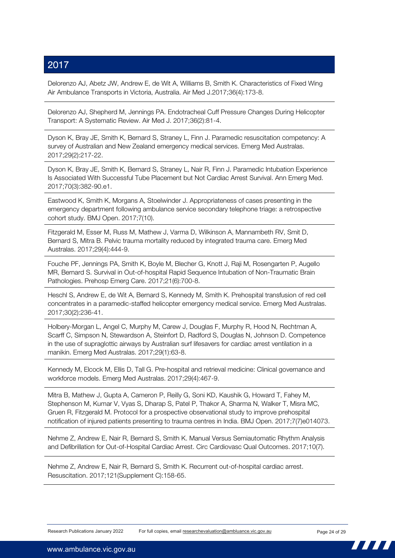Delorenzo AJ, Abetz JW, Andrew E, de Wit A, Williams B, Smith K. Characteristics of Fixed Wing Air Ambulance Transports in Victoria, Australia. Air Med J.2017;36(4):173-8.

Delorenzo AJ, Shepherd M, Jennings PA. Endotracheal Cuff Pressure Changes During Helicopter Transport: A Systematic Review. Air Med J. 2017;36(2):81-4.

Dyson K, Bray JE, Smith K, Bernard S, Straney L, Finn J. Paramedic resuscitation competency: A survey of Australian and New Zealand emergency medical services. Emerg Med Australas. 2017;29(2):217-22.

Dyson K, Bray JE, Smith K, Bernard S, Straney L, Nair R, Finn J. Paramedic Intubation Experience Is Associated With Successful Tube Placement but Not Cardiac Arrest Survival. Ann Emerg Med. 2017;70(3):382-90.e1.

Eastwood K, Smith K, Morgans A, Stoelwinder J. Appropriateness of cases presenting in the emergency department following ambulance service secondary telephone triage: a retrospective cohort study. BMJ Open. 2017;7(10).

Fitzgerald M, Esser M, Russ M, Mathew J, Varma D, Wilkinson A, Mannambeth RV, Smit D, Bernard S, Mitra B. Pelvic trauma mortality reduced by integrated trauma care. Emerg Med Australas. 2017;29(4):444-9.

Fouche PF, Jennings PA, Smith K, Boyle M, Blecher G, Knott J, Raji M, Rosengarten P, Augello MR, Bernard S. Survival in Out-of-hospital Rapid Sequence Intubation of Non-Traumatic Brain Pathologies. Prehosp Emerg Care. 2017;21(6):700-8.

Heschl S, Andrew E, de Wit A, Bernard S, Kennedy M, Smith K. Prehospital transfusion of red cell concentrates in a paramedic-staffed helicopter emergency medical service. Emerg Med Australas. 2017;30(2):236-41.

Holbery-Morgan L, Angel C, Murphy M, Carew J, Douglas F, Murphy R, Hood N, Rechtman A, Scarff C, Simpson N, Stewardson A, Steinfort D, Radford S, Douglas N, Johnson D. Competence in the use of supraglottic airways by Australian surf lifesavers for cardiac arrest ventilation in a manikin. Emerg Med Australas. 2017;29(1):63-8.

Kennedy M, Elcock M, Ellis D, Tall G. Pre-hospital and retrieval medicine: Clinical governance and workforce models. Emerg Med Australas. 2017;29(4):467-9.

Mitra B, Mathew J, Gupta A, Cameron P, Reilly G, Soni KD, Kaushik G, Howard T, Fahey M, Stephenson M, Kumar V, Vyas S, Dharap S, Patel P, Thakor A, Sharma N, Walker T, Misra MC, Gruen R, Fitzgerald M. Protocol for a prospective observational study to improve prehospital notification of injured patients presenting to trauma centres in India. BMJ Open. 2017;7(7)e014073.

Nehme Z, Andrew E, Nair R, Bernard S, Smith K. Manual Versus Semiautomatic Rhythm Analysis and Defibrillation for Out-of-Hospital Cardiac Arrest. Circ Cardiovasc Qual Outcomes. 2017;10(7).

Nehme Z, Andrew E, Nair R, Bernard S, Smith K. Recurrent out-of-hospital cardiac arrest. Resuscitation. 2017;121(Supplement C):158-65.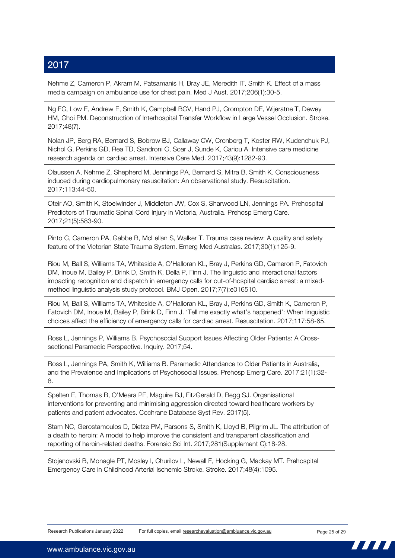Nehme Z, Cameron P, Akram M, Patsamanis H, Bray JE, Meredith IT, Smith K. Effect of a mass media campaign on ambulance use for chest pain. Med J Aust. 2017;206(1):30-5.

Ng FC, Low E, Andrew E, Smith K, Campbell BCV, Hand PJ, Crompton DE, Wijeratne T, Dewey HM, Choi PM. Deconstruction of Interhospital Transfer Workflow in Large Vessel Occlusion. Stroke. 2017;48(7).

Nolan JP, Berg RA, Bernard S, Bobrow BJ, Callaway CW, Cronberg T, Koster RW, Kudenchuk PJ, Nichol G, Perkins GD, Rea TD, Sandroni C, Soar J, Sunde K, Cariou A. Intensive care medicine research agenda on cardiac arrest. Intensive Care Med. 2017;43(9):1282-93.

Olaussen A, Nehme Z, Shepherd M, Jennings PA, Bernard S, Mitra B, Smith K. Consciousness induced during cardiopulmonary resuscitation: An observational study. Resuscitation. 2017;113:44-50.

Oteir AO, Smith K, Stoelwinder J, Middleton JW, Cox S, Sharwood LN, Jennings PA. Prehospital Predictors of Traumatic Spinal Cord Injury in Victoria, Australia. Prehosp Emerg Care. 2017;21(5):583-90.

Pinto C, Cameron PA, Gabbe B, McLellan S, Walker T. Trauma case review: A quality and safety feature of the Victorian State Trauma System. Emerg Med Australas. 2017;30(1):125-9.

Riou M, Ball S, Williams TA, Whiteside A, O'Halloran KL, Bray J, Perkins GD, Cameron P, Fatovich DM, Inoue M, Bailey P, Brink D, Smith K, Della P, Finn J. The linguistic and interactional factors impacting recognition and dispatch in emergency calls for out-of-hospital cardiac arrest: a mixedmethod linguistic analysis study protocol. BMJ Open. 2017;7(7):e016510.

Riou M, Ball S, Williams TA, Whiteside A, O'Halloran KL, Bray J, Perkins GD, Smith K, Cameron P, Fatovich DM, Inoue M, Bailey P, Brink D, Finn J. 'Tell me exactly what's happened': When linguistic choices affect the efficiency of emergency calls for cardiac arrest. Resuscitation. 2017;117:58-65.

Ross L, Jennings P, Williams B. Psychosocial Support Issues Affecting Older Patients: A Crosssectional Paramedic Perspective. Inquiry. 2017;54.

Ross L, Jennings PA, Smith K, Williams B. Paramedic Attendance to Older Patients in Australia, and the Prevalence and Implications of Psychosocial Issues. Prehosp Emerg Care. 2017;21(1):32- 8.

Spelten E, Thomas B, O'Meara PF, Maguire BJ, FitzGerald D, Begg SJ. Organisational interventions for preventing and minimising aggression directed toward healthcare workers by patients and patient advocates. Cochrane Database Syst Rev. 2017(5).

Stam NC, Gerostamoulos D, Dietze PM, Parsons S, Smith K, Lloyd B, Pilgrim JL. The attribution of a death to heroin: A model to help improve the consistent and transparent classification and reporting of heroin-related deaths. Forensic Sci Int. 2017;281(Supplement C):18-28.

Stojanovski B, Monagle PT, Mosley I, Churilov L, Newall F, Hocking G, Mackay MT. Prehospital Emergency Care in Childhood Arterial Ischemic Stroke. Stroke. 2017;48(4):1095.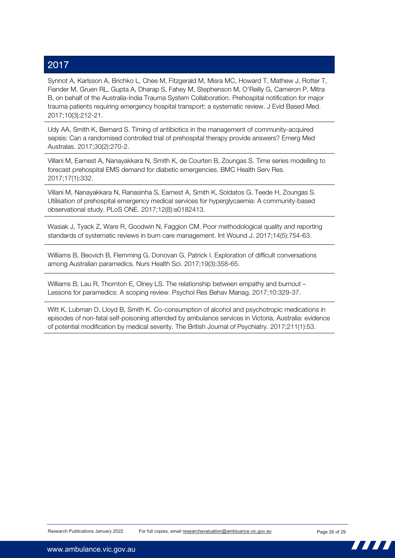Synnot A, Karlsson A, Brichko L, Chee M, Fitzgerald M, Misra MC, Howard T, Mathew J, Rotter T, Fiander M, Gruen RL, Gupta A, Dharap S, Fahey M, Stephenson M, O'Reilly G, Cameron P, Mitra B, on behalf of the Australia-India Trauma System Collaboration. Prehospital notification for major trauma patients requiring emergency hospital transport: a systematic review. J Evid Based Med. 2017;10(3):212-21.

Udy AA, Smith K, Bernard S. Timing of antibiotics in the management of community-acquired sepsis: Can a randomised controlled trial of prehospital therapy provide answers? Emerg Med Australas. 2017;30(2):270-2.

Villani M, Earnest A, Nanayakkara N, Smith K, de Courten B, Zoungas S. Time series modelling to forecast prehospital EMS demand for diabetic emergencies. BMC Health Serv Res. 2017;17(1):332.

Villani M, Nanayakkara N, Ranasinha S, Earnest A, Smith K, Soldatos G, Teede H, Zoungas S. Utilisation of prehospital emergency medical services for hyperglycaemia: A community-based observational study. PLoS ONE. 2017;12(8):e0182413.

Wasiak J, Tyack Z, Ware R, Goodwin N, Faggion CM. Poor methodological quality and reporting standards of systematic reviews in burn care management. Int Wound J. 2017;14(5):754-63.

Williams B, Beovich B, Flemming G, Donovan G, Patrick I. Exploration of difficult conversations among Australian paramedics. Nurs Health Sci. 2017;19(3):358-65.

Williams B, Lau R, Thornton E, Olney LS. The relationship between empathy and burnout – Lessons for paramedics: A scoping review. Psychol Res Behav Manag. 2017;10:329-37.

Witt K, Lubman D, Lloyd B, Smith K. Co-consumption of alcohol and psychotropic medications in episodes of non-fatal self-poisoning attended by ambulance services in Victoria, Australia: evidence of potential modification by medical severity. The British Journal of Psychiatry. 2017;211(1):53.

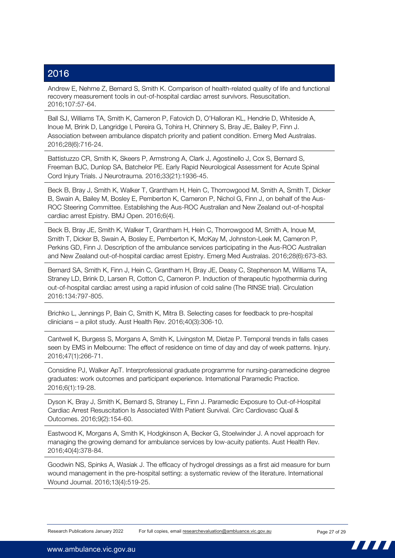Andrew E, Nehme Z, Bernard S, Smith K. Comparison of health-related quality of life and functional recovery measurement tools in out-of-hospital cardiac arrest survivors. Resuscitation. 2016;107:57-64.

Ball SJ, Williams TA, Smith K, Cameron P, Fatovich D, O'Halloran KL, Hendrie D, Whiteside A, Inoue M, Brink D, Langridge I, Pereira G, Tohira H, Chinnery S, Bray JE, Bailey P, Finn J. Association between ambulance dispatch priority and patient condition. Emerg Med Australas. 2016;28(6):716-24.

Battistuzzo CR, Smith K, Skeers P, Armstrong A, Clark J, Agostinello J, Cox S, Bernard S, Freeman BJC, Dunlop SA, Batchelor PE. Early Rapid Neurological Assessment for Acute Spinal Cord Injury Trials. J Neurotrauma. 2016;33(21):1936-45.

Beck B, Bray J, Smith K, Walker T, Grantham H, Hein C, Thorrowgood M, Smith A, Smith T, Dicker B, Swain A, Bailey M, Bosley E, Pemberton K, Cameron P, Nichol G, Finn J, on behalf of the Aus-ROC Steering Committee. Establishing the Aus-ROC Australian and New Zealand out-of-hospital cardiac arrest Epistry. BMJ Open. 2016;6(4).

Beck B, Bray JE, Smith K, Walker T, Grantham H, Hein C, Thorrowgood M, Smith A, Inoue M, Smith T, Dicker B, Swain A, Bosley E, Pemberton K, McKay M, Johnston-Leek M, Cameron P, Perkins GD, Finn J. Description of the ambulance services participating in the Aus-ROC Australian and New Zealand out-of-hospital cardiac arrest Epistry. Emerg Med Australas. 2016;28(6):673-83.

Bernard SA, Smith K, Finn J, Hein C, Grantham H, Bray JE, Deasy C, Stephenson M, Williams TA, Straney LD, Brink D, Larsen R, Cotton C, Cameron P. Induction of therapeutic hypothermia during out-of-hospital cardiac arrest using a rapid infusion of cold saline (The RINSE trial). Circulation 2016:134:797-805.

Brichko L, Jennings P, Bain C, Smith K, Mitra B. Selecting cases for feedback to pre-hospital clinicians – a pilot study. Aust Health Rev. 2016;40(3):306-10.

Cantwell K, Burgess S, Morgans A, Smith K, Livingston M, Dietze P. Temporal trends in falls cases seen by EMS in Melbourne: The effect of residence on time of day and day of week patterns. Injury. 2016;47(1):266-71.

Considine PJ, Walker ApT. Interprofessional graduate programme for nursing-paramedicine degree graduates: work outcomes and participant experience. International Paramedic Practice. 2016;6(1):19-28.

Dyson K, Bray J, Smith K, Bernard S, Straney L, Finn J. Paramedic Exposure to Out-of-Hospital Cardiac Arrest Resuscitation Is Associated With Patient Survival. Circ Cardiovasc Qual & Outcomes. 2016;9(2):154-60.

Eastwood K, Morgans A, Smith K, Hodgkinson A, Becker G, Stoelwinder J. A novel approach for managing the growing demand for ambulance services by low-acuity patients. Aust Health Rev. 2016;40(4):378-84.

Goodwin NS, Spinks A, Wasiak J. The efficacy of hydrogel dressings as a first aid measure for burn wound management in the pre-hospital setting: a systematic review of the literature. International Wound Journal. 2016;13(4):519-25.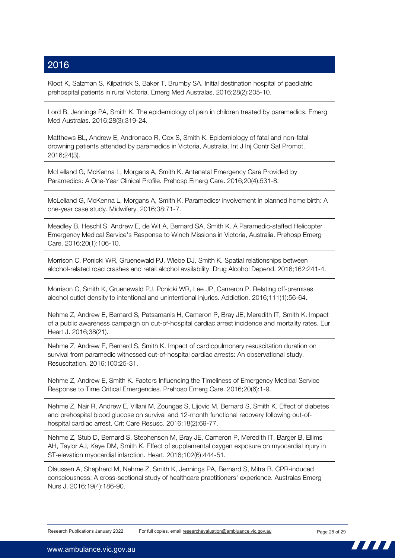Kloot K, Salzman S, Kilpatrick S, Baker T, Brumby SA. Initial destination hospital of paediatric prehospital patients in rural Victoria. Emerg Med Australas. 2016;28(2):205-10.

Lord B, Jennings PA, Smith K. The epidemiology of pain in children treated by paramedics. Emerg Med Australas. 2016;28(3):319-24.

Matthews BL, Andrew E, Andronaco R, Cox S, Smith K. Epidemiology of fatal and non-fatal drowning patients attended by paramedics in Victoria, Australia. Int J Inj Contr Saf Promot. 2016;24(3).

McLelland G, McKenna L, Morgans A, Smith K. Antenatal Emergency Care Provided by Paramedics: A One-Year Clinical Profile. Prehosp Emerg Care. 2016;20(4):531-8.

McLelland G, McKenna L, Morgans A, Smith K. Paramedics׳ involvement in planned home birth: A one-year case study. Midwifery. 2016;38:71-7.

Meadley B, Heschl S, Andrew E, de Wit A, Bernard SA, Smith K. A Paramedic-staffed Helicopter Emergency Medical Service's Response to Winch Missions in Victoria, Australia. Prehosp Emerg Care. 2016;20(1):106-10.

Morrison C, Ponicki WR, Gruenewald PJ, Wiebe DJ, Smith K. Spatial relationships between alcohol-related road crashes and retail alcohol availability. Drug Alcohol Depend. 2016;162:241-4.

Morrison C, Smith K, Gruenewald PJ, Ponicki WR, Lee JP, Cameron P. Relating off-premises alcohol outlet density to intentional and unintentional injuries. Addiction. 2016;111(1):56-64.

Nehme Z, Andrew E, Bernard S, Patsamanis H, Cameron P, Bray JE, Meredith IT, Smith K. Impact of a public awareness campaign on out-of-hospital cardiac arrest incidence and mortality rates. Eur Heart J. 2016;38(21).

Nehme Z, Andrew E, Bernard S, Smith K. Impact of cardiopulmonary resuscitation duration on survival from paramedic witnessed out-of-hospital cardiac arrests: An observational study. Resuscitation. 2016;100:25-31.

Nehme Z, Andrew E, Smith K. Factors Influencing the Timeliness of Emergency Medical Service Response to Time Critical Emergencies. Prehosp Emerg Care. 2016;20(6):1-9.

Nehme Z, Nair R, Andrew E, Villani M, Zoungas S, Lijovic M, Bernard S, Smith K. Effect of diabetes and prehospital blood glucose on survival and 12-month functional recovery following out-ofhospital cardiac arrest. Crit Care Resusc. 2016;18(2):69-77.

Nehme Z, Stub D, Bernard S, Stephenson M, Bray JE, Cameron P, Meredith IT, Barger B, Ellims AH, Taylor AJ, Kaye DM, Smith K. Effect of supplemental oxygen exposure on myocardial injury in ST-elevation myocardial infarction. Heart. 2016;102(6):444-51.

Olaussen A, Shepherd M, Nehme Z, Smith K, Jennings PA, Bernard S, Mitra B. CPR-induced consciousness: A cross-sectional study of healthcare practitioners' experience. Australas Emerg Nurs J. 2016;19(4):186-90.